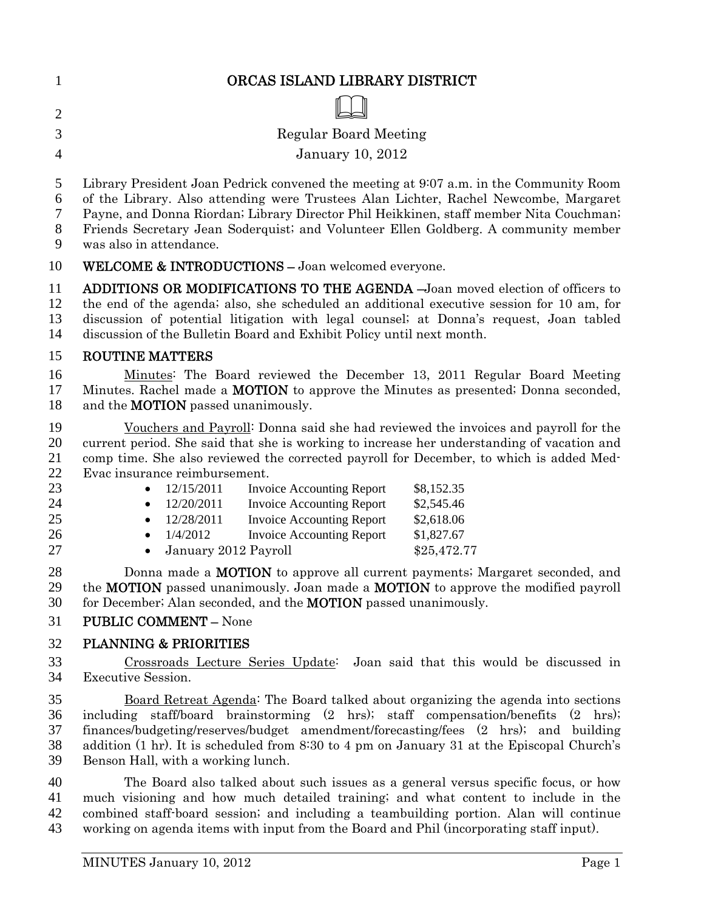| ORCAS ISLAND LIBRARY DISTRICT |
|-------------------------------|
|                               |

Regular Board Meeting

#### January 10, 2012

- Library President Joan Pedrick convened the meeting at 9:07 a.m. in the Community Room
- of the Library. Also attending were Trustees Alan Lichter, Rachel Newcombe, Margaret
- Payne, and Donna Riordan; Library Director Phil Heikkinen, staff member Nita Couchman;
- Friends Secretary Jean Soderquist; and Volunteer Ellen Goldberg. A community member
- was also in attendance.

# WELCOME & INTRODUCTIONS – Joan welcomed everyone.

ADDITIONS OR MODIFICATIONS TO THE AGENDA –Joan moved election of officers to the end of the agenda; also, she scheduled an additional executive session for 10 am, for discussion of potential litigation with legal counsel; at Donna's request, Joan tabled discussion of the Bulletin Board and Exhibit Policy until next month.

## ROUTINE MATTERS

Minutes: The Board reviewed the December 13, 2011 Regular Board Meeting 17 Minutes. Rachel made a **MOTION** to approve the Minutes as presented; Donna seconded, 18 and the **MOTION** passed unanimously.

Vouchers and Payroll: Donna said she had reviewed the invoices and payroll for the current period. She said that she is working to increase her understanding of vacation and comp time. She also reviewed the corrected payroll for December, to which is added Med-Evac insurance reimbursement.

| 23 |           | $\bullet$ 12/15/2011   | <b>Invoice Accounting Report</b> | \$8,152.35  |
|----|-----------|------------------------|----------------------------------|-------------|
| 24 |           | $\bullet$ 12/20/2011   | <b>Invoice Accounting Report</b> | \$2,545.46  |
| 25 |           | $\bullet$ 12/28/2011   | Invoice Accounting Report        | \$2,618.06  |
| 26 | $\bullet$ | 1/4/2012               | <b>Invoice Accounting Report</b> | \$1,827.67  |
| 27 |           | • January 2012 Payroll |                                  | \$25,472.77 |

28 Donna made a **MOTION** to approve all current payments; Margaret seconded, and the MOTION passed unanimously. Joan made a MOTION to approve the modified payroll 30 for December; Alan seconded, and the **MOTION** passed unanimously.

# PUBLIC COMMENT – None

# PLANNING & PRIORITIES

Crossroads Lecture Series Update: Joan said that this would be discussed in Executive Session.

Board Retreat Agenda: The Board talked about organizing the agenda into sections including staff/board brainstorming (2 hrs); staff compensation/benefits (2 hrs); finances/budgeting/reserves/budget amendment/forecasting/fees (2 hrs); and building addition (1 hr). It is scheduled from 8:30 to 4 pm on January 31 at the Episcopal Church's Benson Hall, with a working lunch.

The Board also talked about such issues as a general versus specific focus, or how much visioning and how much detailed training; and what content to include in the combined staff-board session; and including a teambuilding portion. Alan will continue working on agenda items with input from the Board and Phil (incorporating staff input).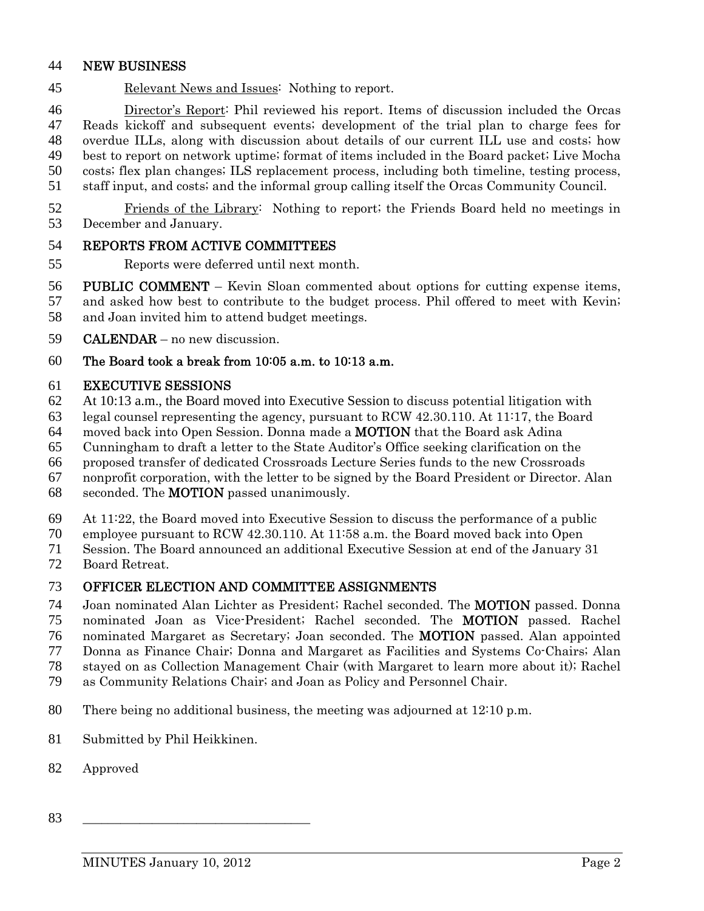### NEW BUSINESS

Relevant News and Issues: Nothing to report.

Director's Report: Phil reviewed his report. Items of discussion included the Orcas Reads kickoff and subsequent events; development of the trial plan to charge fees for overdue ILLs, along with discussion about details of our current ILL use and costs; how best to report on network uptime; format of items included in the Board packet; Live Mocha costs; flex plan changes; ILS replacement process, including both timeline, testing process,

- staff input, and costs; and the informal group calling itself the Orcas Community Council.
- Friends of the Library: Nothing to report; the Friends Board held no meetings in December and January.

#### REPORTS FROM ACTIVE COMMITTEES

Reports were deferred until next month.

PUBLIC COMMENT – Kevin Sloan commented about options for cutting expense items, and asked how best to contribute to the budget process. Phil offered to meet with Kevin; and Joan invited him to attend budget meetings.

CALENDAR – no new discussion.

The Board took a break from 10:05 a.m. to 10:13 a.m.

#### EXECUTIVE SESSIONS

- 62 At 10:13 a.m., the Board moved into Executive Session to discuss potential litigation with
- legal counsel representing the agency, pursuant to RCW 42.30.110. At 11:17, the Board
- moved back into Open Session. Donna made a MOTION that the Board ask Adina
- Cunningham to draft a letter to the State Auditor's Office seeking clarification on the
- proposed transfer of dedicated Crossroads Lecture Series funds to the new Crossroads

nonprofit corporation, with the letter to be signed by the Board President or Director. Alan

- seconded. The MOTION passed unanimously.
- At 11:22, the Board moved into Executive Session to discuss the performance of a public

employee pursuant to RCW 42.30.110. At 11:58 a.m. the Board moved back into Open

- Session. The Board announced an additional Executive Session at end of the January 31
- Board Retreat.

#### OFFICER ELECTION AND COMMITTEE ASSIGNMENTS

- Joan nominated Alan Lichter as President; Rachel seconded. The MOTION passed. Donna nominated Joan as Vice-President; Rachel seconded. The MOTION passed. Rachel
- nominated Margaret as Secretary; Joan seconded. The MOTION passed. Alan appointed
- Donna as Finance Chair; Donna and Margaret as Facilities and Systems Co-Chairs; Alan
- stayed on as Collection Management Chair (with Margaret to learn more about it); Rachel
- as Community Relations Chair; and Joan as Policy and Personnel Chair.
- There being no additional business, the meeting was adjourned at 12:10 p.m.
- Submitted by Phil Heikkinen.
- Approved
- \_\_\_\_\_\_\_\_\_\_\_\_\_\_\_\_\_\_\_\_\_\_\_\_\_\_\_\_\_\_\_\_\_\_\_\_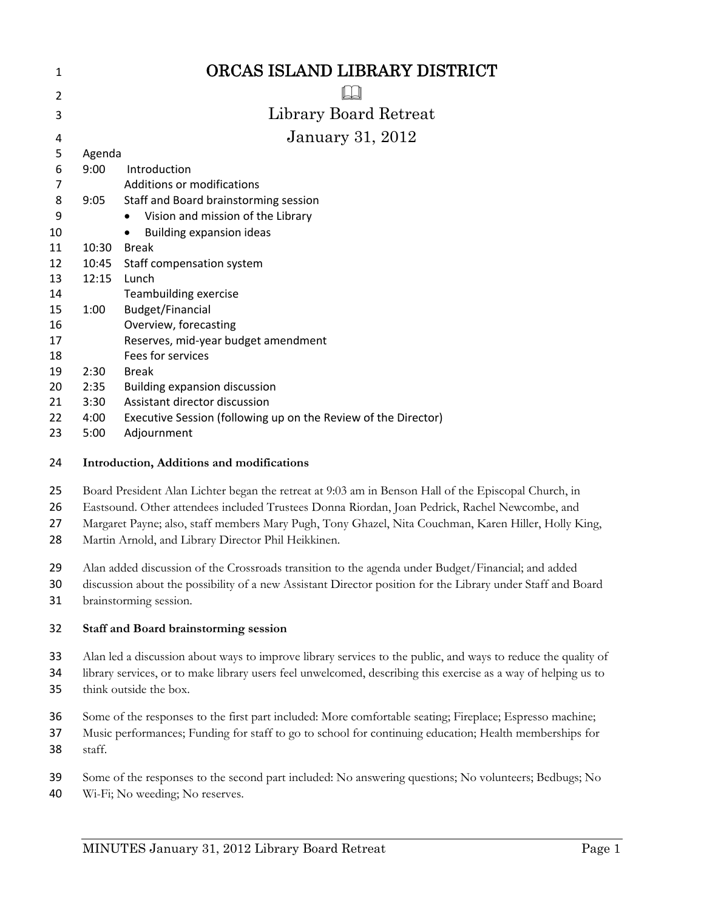| 1  |        | ORCAS ISLAND LIBRARY DISTRICT                                  |
|----|--------|----------------------------------------------------------------|
| 2  |        |                                                                |
| 3  |        | Library Board Retreat                                          |
| 4  |        | <b>January 31, 2012</b>                                        |
| 5  | Agenda |                                                                |
| 6  | 9:00   | Introduction                                                   |
| 7  |        | Additions or modifications                                     |
| 8  | 9:05   | Staff and Board brainstorming session                          |
| 9  |        | Vision and mission of the Library<br>$\bullet$                 |
| 10 |        | <b>Building expansion ideas</b><br>$\bullet$                   |
| 11 | 10:30  | <b>Break</b>                                                   |
| 12 | 10:45  | Staff compensation system                                      |
| 13 | 12:15  | Lunch                                                          |
| 14 |        | Teambuilding exercise                                          |
| 15 | 1:00   | Budget/Financial                                               |
| 16 |        | Overview, forecasting                                          |
| 17 |        | Reserves, mid-year budget amendment                            |
| 18 |        | Fees for services                                              |
| 19 | 2:30   | <b>Break</b>                                                   |
| 20 | 2:35   | Building expansion discussion                                  |
| 21 | 3:30   | Assistant director discussion                                  |
| 22 | 4:00   | Executive Session (following up on the Review of the Director) |
| 23 | 5:00   | Adjournment                                                    |
|    |        |                                                                |

#### **Introduction, Additions and modifications**

- Board President Alan Lichter began the retreat at 9:03 am in Benson Hall of the Episcopal Church, in
- Eastsound. Other attendees included Trustees Donna Riordan, Joan Pedrick, Rachel Newcombe, and
- Margaret Payne; also, staff members Mary Pugh, Tony Ghazel, Nita Couchman, Karen Hiller, Holly King,
- Martin Arnold, and Library Director Phil Heikkinen.
- Alan added discussion of the Crossroads transition to the agenda under Budget/Financial; and added
- discussion about the possibility of a new Assistant Director position for the Library under Staff and Board brainstorming session.
- **Staff and Board brainstorming session**
- Alan led a discussion about ways to improve library services to the public, and ways to reduce the quality of
- library services, or to make library users feel unwelcomed, describing this exercise as a way of helping us to
- think outside the box.
- Some of the responses to the first part included: More comfortable seating; Fireplace; Espresso machine;
- Music performances; Funding for staff to go to school for continuing education; Health memberships for staff.
- Some of the responses to the second part included: No answering questions; No volunteers; Bedbugs; No
- Wi-Fi; No weeding; No reserves.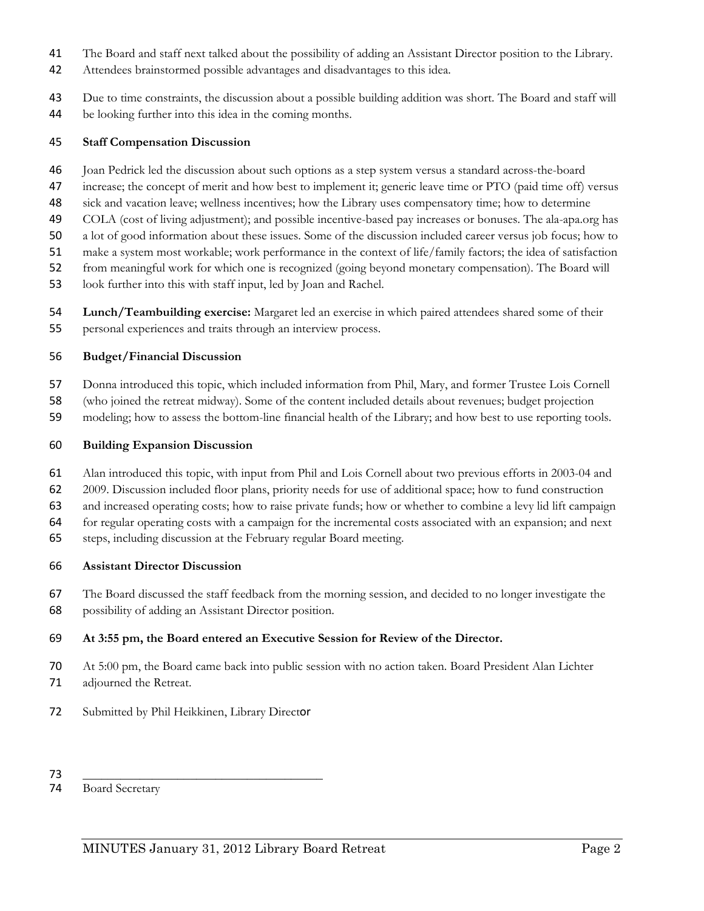- The Board and staff next talked about the possibility of adding an Assistant Director position to the Library.
- Attendees brainstormed possible advantages and disadvantages to this idea.
- Due to time constraints, the discussion about a possible building addition was short. The Board and staff will be looking further into this idea in the coming months.

#### **Staff Compensation Discussion**

- Joan Pedrick led the discussion about such options as a step system versus a standard across-the-board
- 47 increase; the concept of merit and how best to implement it; generic leave time or PTO (paid time off) versus
- sick and vacation leave; wellness incentives; how the Library uses compensatory time; how to determine
- COLA (cost of living adjustment); and possible incentive-based pay increases or bonuses. The ala-apa.org has
- a lot of good information about these issues. Some of the discussion included career versus job focus; how to
- make a system most workable; work performance in the context of life/family factors; the idea of satisfaction
- from meaningful work for which one is recognized (going beyond monetary compensation). The Board will
- look further into this with staff input, led by Joan and Rachel.
- **Lunch/Teambuilding exercise:** Margaret led an exercise in which paired attendees shared some of their personal experiences and traits through an interview process.

#### **Budget/Financial Discussion**

Donna introduced this topic, which included information from Phil, Mary, and former Trustee Lois Cornell

- (who joined the retreat midway). Some of the content included details about revenues; budget projection
- modeling; how to assess the bottom-line financial health of the Library; and how best to use reporting tools.

#### **Building Expansion Discussion**

- Alan introduced this topic, with input from Phil and Lois Cornell about two previous efforts in 2003-04 and
- 2009. Discussion included floor plans, priority needs for use of additional space; how to fund construction
- and increased operating costs; how to raise private funds; how or whether to combine a levy lid lift campaign
- for regular operating costs with a campaign for the incremental costs associated with an expansion; and next
- steps, including discussion at the February regular Board meeting.

#### **Assistant Director Discussion**

 The Board discussed the staff feedback from the morning session, and decided to no longer investigate the possibility of adding an Assistant Director position.

#### **At 3:55 pm, the Board entered an Executive Session for Review of the Director.**

- At 5:00 pm, the Board came back into public session with no action taken. Board President Alan Lichter adjourned the Retreat.
- Submitted by Phil Heikkinen, Library Director
- \_\_\_\_\_\_\_\_\_\_\_\_\_\_\_\_\_\_\_\_\_\_\_\_\_\_\_\_\_\_\_\_\_\_\_\_\_\_

Board Secretary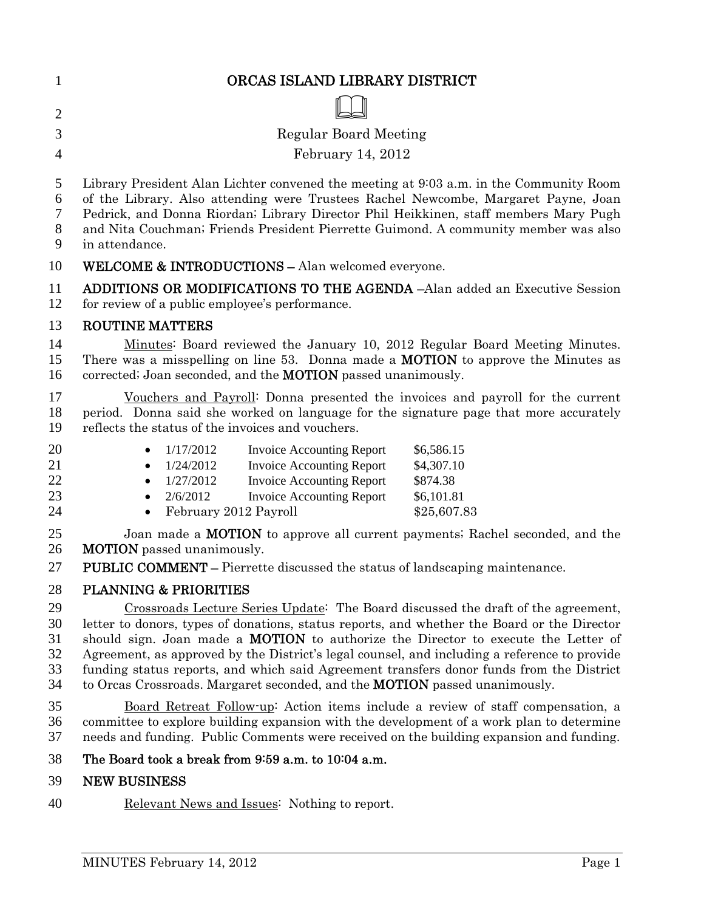| $\overline{2}$                                |                                                                                                                                                                                                                                                                                                                                                                                                                                                                                                                                                                                                    |  |  |  |
|-----------------------------------------------|----------------------------------------------------------------------------------------------------------------------------------------------------------------------------------------------------------------------------------------------------------------------------------------------------------------------------------------------------------------------------------------------------------------------------------------------------------------------------------------------------------------------------------------------------------------------------------------------------|--|--|--|
| 3                                             | <b>Regular Board Meeting</b>                                                                                                                                                                                                                                                                                                                                                                                                                                                                                                                                                                       |  |  |  |
| $\overline{4}$                                | February 14, 2012                                                                                                                                                                                                                                                                                                                                                                                                                                                                                                                                                                                  |  |  |  |
| 5<br>6<br>$\overline{7}$<br>8<br>$\mathbf{9}$ | Library President Alan Lichter convened the meeting at 9:03 a.m. in the Community Room<br>of the Library. Also attending were Trustees Rachel Newcombe, Margaret Payne, Joan<br>Pedrick, and Donna Riordan; Library Director Phil Heikkinen, staff members Mary Pugh<br>and Nita Couchman; Friends President Pierrette Guimond. A community member was also<br>in attendance.                                                                                                                                                                                                                      |  |  |  |
| 10                                            | <b>WELCOME &amp; INTRODUCTIONS - Alan welcomed everyone.</b>                                                                                                                                                                                                                                                                                                                                                                                                                                                                                                                                       |  |  |  |
| 11<br>12                                      | <b>ADDITIONS OR MODIFICATIONS TO THE AGENDA -Alan added an Executive Session</b><br>for review of a public employee's performance.                                                                                                                                                                                                                                                                                                                                                                                                                                                                 |  |  |  |
| 13                                            | <b>ROUTINE MATTERS</b>                                                                                                                                                                                                                                                                                                                                                                                                                                                                                                                                                                             |  |  |  |
| 14<br>15<br>16                                | Minutes: Board reviewed the January 10, 2012 Regular Board Meeting Minutes.<br>There was a misspelling on line 53. Donna made a <b>MOTION</b> to approve the Minutes as<br>corrected; Joan seconded, and the <b>MOTION</b> passed unanimously.                                                                                                                                                                                                                                                                                                                                                     |  |  |  |
| 17<br>18<br>19                                | <u>Vouchers and Payroll</u> : Donna presented the invoices and payroll for the current<br>period. Donna said she worked on language for the signature page that more accurately<br>reflects the status of the invoices and vouchers.                                                                                                                                                                                                                                                                                                                                                               |  |  |  |
| 20<br>21<br>22<br>23<br>24                    | 1/17/2012<br>\$6,586.15<br><b>Invoice Accounting Report</b><br>$\bullet$<br><b>Invoice Accounting Report</b><br>1/24/2012<br>\$4,307.10<br>$\bullet$<br><b>Invoice Accounting Report</b><br>\$874.38<br>1/27/2012<br>$\bullet$<br>2/6/2012<br><b>Invoice Accounting Report</b><br>\$6,101.81<br>$\bullet$<br>February 2012 Payroll<br>\$25,607.83<br>$\bullet$                                                                                                                                                                                                                                     |  |  |  |
| 25<br>26                                      | Joan made a <b>MOTION</b> to approve all current payments; Rachel seconded, and the<br><b>MOTION</b> passed unanimously.                                                                                                                                                                                                                                                                                                                                                                                                                                                                           |  |  |  |
| 27                                            | <b>PUBLIC COMMENT - Pierrette discussed the status of landscaping maintenance.</b>                                                                                                                                                                                                                                                                                                                                                                                                                                                                                                                 |  |  |  |
| 28<br>29<br>30<br>31<br>32<br>33<br>34        | <b>PLANNING &amp; PRIORITIES</b><br>Crossroads Lecture Series Update: The Board discussed the draft of the agreement,<br>letter to donors, types of donations, status reports, and whether the Board or the Director<br>should sign. Joan made a <b>MOTION</b> to authorize the Director to execute the Letter of<br>Agreement, as approved by the District's legal counsel, and including a reference to provide<br>funding status reports, and which said Agreement transfers donor funds from the District<br>to Orcas Crossroads. Margaret seconded, and the <b>MOTION</b> passed unanimously. |  |  |  |
| 35<br>36<br>37                                | Board Retreat Follow-up: Action items include a review of staff compensation, a<br>committee to explore building expansion with the development of a work plan to determine<br>needs and funding. Public Comments were received on the building expansion and funding.                                                                                                                                                                                                                                                                                                                             |  |  |  |
| 38                                            | The Board took a break from 9:59 a.m. to 10:04 a.m.                                                                                                                                                                                                                                                                                                                                                                                                                                                                                                                                                |  |  |  |
| 39                                            | <b>NEW BUSINESS</b>                                                                                                                                                                                                                                                                                                                                                                                                                                                                                                                                                                                |  |  |  |
| 40                                            | Relevant News and Issues: Nothing to report.                                                                                                                                                                                                                                                                                                                                                                                                                                                                                                                                                       |  |  |  |
|                                               | Page 1<br>MINUTES February 14, 2012                                                                                                                                                                                                                                                                                                                                                                                                                                                                                                                                                                |  |  |  |

1 ORCAS ISLAND LIBRARY DISTRICT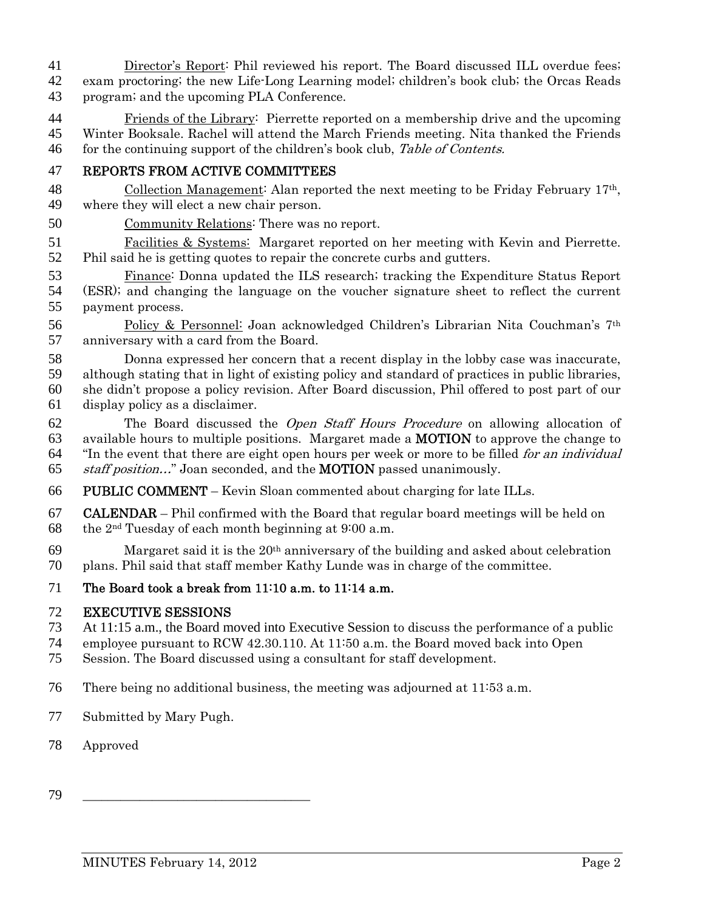- Director's Report: Phil reviewed his report. The Board discussed ILL overdue fees; exam proctoring; the new Life-Long Learning model; children's book club; the Orcas Reads program; and the upcoming PLA Conference.
- Friends of the Library: Pierrette reported on a membership drive and the upcoming Winter Booksale. Rachel will attend the March Friends meeting. Nita thanked the Friends 46 for the continuing support of the children's book club, Table of Contents.

## REPORTS FROM ACTIVE COMMITTEES

- 48 Collection Management: Alan reported the next meeting to be Friday February 17<sup>th</sup>, where they will elect a new chair person.
- Community Relations: There was no report.
- Facilities & Systems: Margaret reported on her meeting with Kevin and Pierrette. Phil said he is getting quotes to repair the concrete curbs and gutters.
- Finance: Donna updated the ILS research; tracking the Expenditure Status Report (ESR); and changing the language on the voucher signature sheet to reflect the current payment process.
- Policy & Personnel: Joan acknowledged Children's Librarian Nita Couchman's 7th anniversary with a card from the Board.
- Donna expressed her concern that a recent display in the lobby case was inaccurate,
- although stating that in light of existing policy and standard of practices in public libraries, she didn't propose a policy revision. After Board discussion, Phil offered to post part of our
- display policy as a disclaimer.
- The Board discussed the Open Staff Hours Procedure on allowing allocation of available hours to multiple positions. Margaret made a MOTION to approve the change to 64 "In the event that there are eight open hours per week or more to be filled *for an individual* staff position…" Joan seconded, and the MOTION passed unanimously.
- PUBLIC COMMENT Kevin Sloan commented about charging for late ILLs.
- CALENDAR Phil confirmed with the Board that regular board meetings will be held on 68 the  $2<sup>nd</sup>$  Tuesday of each month beginning at 9:00 a.m.
- Margaret said it is the  $20<sup>th</sup>$  anniversary of the building and asked about celebration plans. Phil said that staff member Kathy Lunde was in charge of the committee.

## The Board took a break from 11:10 a.m. to 11:14 a.m.

### EXECUTIVE SESSIONS

- 73 At 11:15 a.m., the Board moved into Executive Session to discuss the performance of a public
- employee pursuant to RCW 42.30.110. At 11:50 a.m. the Board moved back into Open
- Session. The Board discussed using a consultant for staff development.
- There being no additional business, the meeting was adjourned at 11:53 a.m.
- Submitted by Mary Pugh.
- Approved
- \_\_\_\_\_\_\_\_\_\_\_\_\_\_\_\_\_\_\_\_\_\_\_\_\_\_\_\_\_\_\_\_\_\_\_\_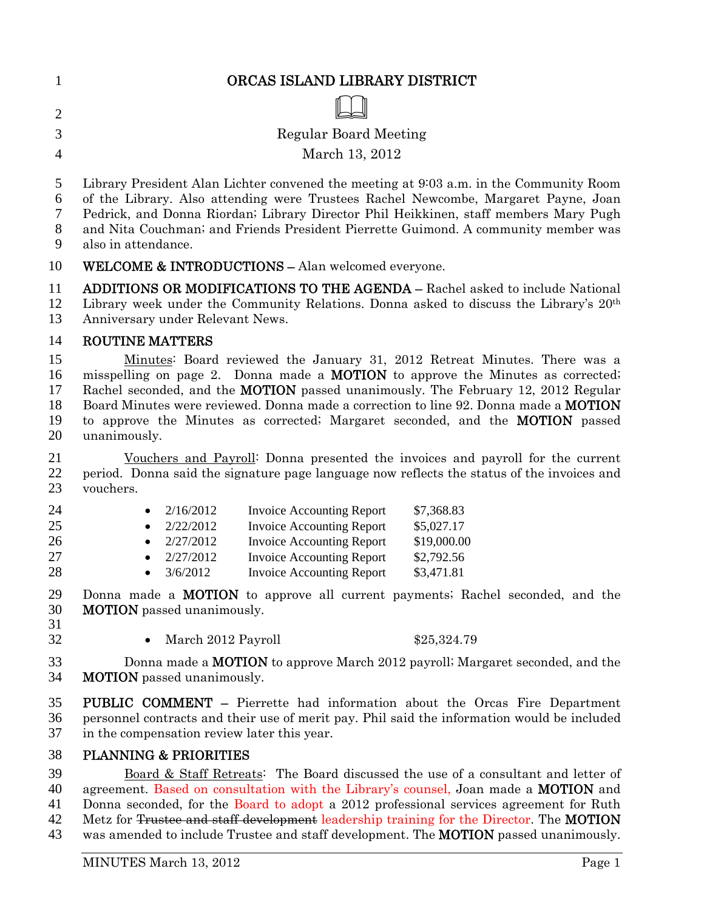| ORCAS ISLAND LIBRARY DISTRICT |
|-------------------------------|
|                               |

- Regular Board Meeting
- March 13, 2012
- 

Library President Alan Lichter convened the meeting at 9:03 a.m. in the Community Room

of the Library. Also attending were Trustees Rachel Newcombe, Margaret Payne, Joan

Pedrick, and Donna Riordan; Library Director Phil Heikkinen, staff members Mary Pugh

and Nita Couchman; and Friends President Pierrette Guimond. A community member was

also in attendance.

# WELCOME & INTRODUCTIONS – Alan welcomed everyone.

ADDITIONS OR MODIFICATIONS TO THE AGENDA – Rachel asked to include National 12 Library week under the Community Relations. Donna asked to discuss the Library's  $20<sup>th</sup>$ Anniversary under Relevant News.

# ROUTINE MATTERS

15 Minutes: Board reviewed the January 31, 2012 Retreat Minutes. There was a misspelling on page 2. Donna made a MOTION to approve the Minutes as corrected; Rachel seconded, and the MOTION passed unanimously. The February 12, 2012 Regular 18 Board Minutes were reviewed. Donna made a correction to line 92. Donna made a MOTION to approve the Minutes as corrected; Margaret seconded, and the MOTION passed unanimously.

Vouchers and Payroll: Donna presented the invoices and payroll for the current period. Donna said the signature page language now reflects the status of the invoices and vouchers.

| 24 | • $2/16/2012$ | <b>Invoice Accounting Report</b> | \$7,368.83  |
|----|---------------|----------------------------------|-------------|
| 25 | • $2/22/2012$ | <b>Invoice Accounting Report</b> | \$5,027.17  |
| 26 | • $2/27/2012$ | <b>Invoice Accounting Report</b> | \$19,000.00 |
| 27 | 2/27/2012     | <b>Invoice Accounting Report</b> | \$2,792.56  |
| 28 | 3/6/2012      | <b>Invoice Accounting Report</b> | \$3,471.81  |
|    |               |                                  |             |

Donna made a MOTION to approve all current payments; Rachel seconded, and the MOTION passed unanimously.

32 • March 2012 Payroll \$25,324.79

33 Donna made a **MOTION** to approve March 2012 payroll; Margaret seconded, and the **MOTION** passed unanimously.

PUBLIC COMMENT – Pierrette had information about the Orcas Fire Department personnel contracts and their use of merit pay. Phil said the information would be included in the compensation review later this year.

## PLANNING & PRIORITIES

Board & Staff Retreats: The Board discussed the use of a consultant and letter of 40 agreement. Based on consultation with the Library's counsel, Joan made a **MOTION** and Donna seconded, for the Board to adopt a 2012 professional services agreement for Ruth 42 Metz for Trustee and staff development leadership training for the Director. The **MOTION** 43 was amended to include Trustee and staff development. The **MOTION** passed unanimously.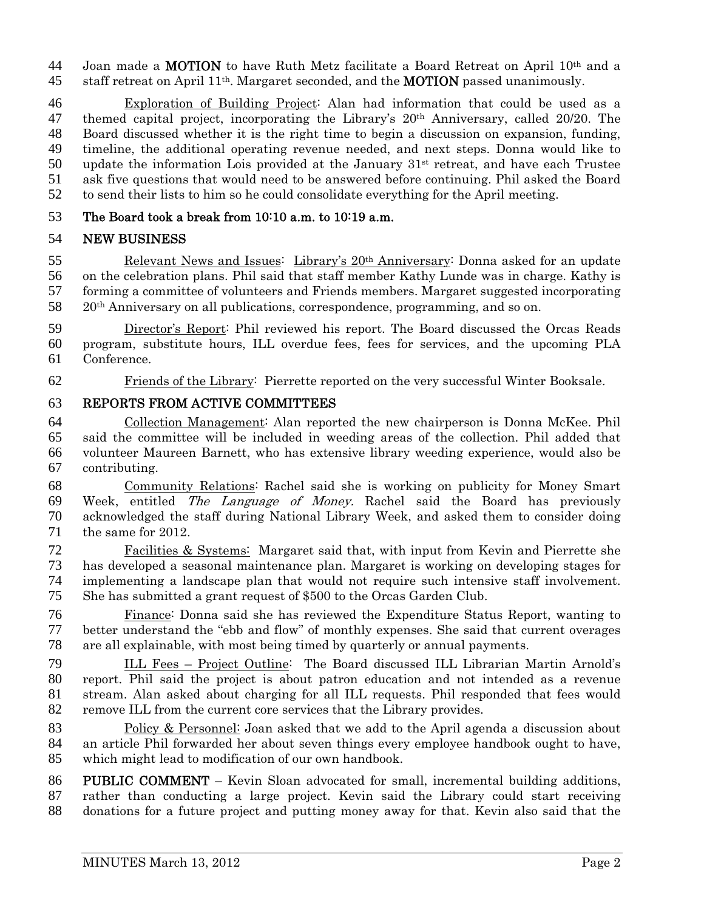44 Joan made a **MOTION** to have Ruth Metz facilitate a Board Retreat on April  $10<sup>th</sup>$  and a 45 staff retreat on April  $11<sup>th</sup>$ . Margaret seconded, and the **MOTION** passed unanimously.

Exploration of Building Project: Alan had information that could be used as a 47 themed capital project, incorporating the Library's  $20<sup>th</sup>$  Anniversary, called 20/20. The Board discussed whether it is the right time to begin a discussion on expansion, funding, timeline, the additional operating revenue needed, and next steps. Donna would like to 50 update the information Lois provided at the January  $31<sup>st</sup>$  retreat, and have each Trustee ask five questions that would need to be answered before continuing. Phil asked the Board to send their lists to him so he could consolidate everything for the April meeting.

## The Board took a break from 10:10 a.m. to 10:19 a.m.

## NEW BUSINESS

 Relevant News and Issues: Library's  $20<sup>th</sup>$  Anniversary: Donna asked for an update on the celebration plans. Phil said that staff member Kathy Lunde was in charge. Kathy is forming a committee of volunteers and Friends members. Margaret suggested incorporating  $20<sup>th</sup>$  Anniversary on all publications, correspondence, programming, and so on.

Director's Report: Phil reviewed his report. The Board discussed the Orcas Reads program, substitute hours, ILL overdue fees, fees for services, and the upcoming PLA Conference.

Friends of the Library: Pierrette reported on the very successful Winter Booksale.

### REPORTS FROM ACTIVE COMMITTEES

Collection Management: Alan reported the new chairperson is Donna McKee. Phil said the committee will be included in weeding areas of the collection. Phil added that volunteer Maureen Barnett, who has extensive library weeding experience, would also be contributing.

Community Relations: Rachel said she is working on publicity for Money Smart 69 Week, entitled The Language of Money. Rachel said the Board has previously acknowledged the staff during National Library Week, and asked them to consider doing the same for 2012.

Facilities & Systems: Margaret said that, with input from Kevin and Pierrette she has developed a seasonal maintenance plan. Margaret is working on developing stages for implementing a landscape plan that would not require such intensive staff involvement. She has submitted a grant request of \$500 to the Orcas Garden Club.

Finance: Donna said she has reviewed the Expenditure Status Report, wanting to better understand the "ebb and flow" of monthly expenses. She said that current overages are all explainable, with most being timed by quarterly or annual payments.

ILL Fees – Project Outline: The Board discussed ILL Librarian Martin Arnold's report. Phil said the project is about patron education and not intended as a revenue stream. Alan asked about charging for all ILL requests. Phil responded that fees would remove ILL from the current core services that the Library provides.

Policy & Personnel: Joan asked that we add to the April agenda a discussion about an article Phil forwarded her about seven things every employee handbook ought to have, which might lead to modification of our own handbook.

PUBLIC COMMENT – Kevin Sloan advocated for small, incremental building additions, rather than conducting a large project. Kevin said the Library could start receiving donations for a future project and putting money away for that. Kevin also said that the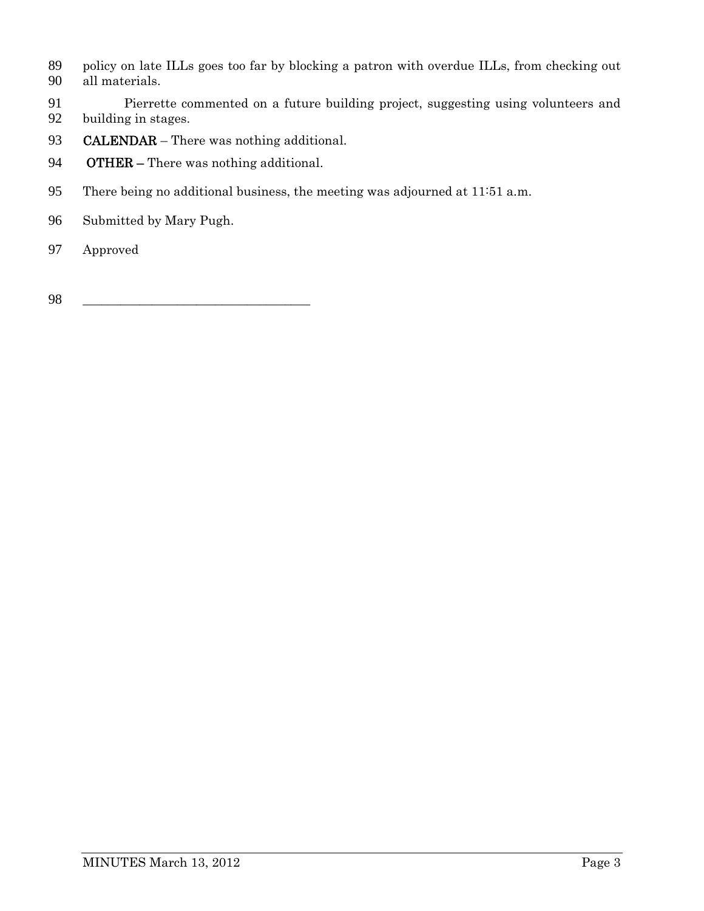- policy on late ILLs goes too far by blocking a patron with overdue ILLs, from checking out all materials.
- 91 Pierrette commented on a future building project, suggesting using volunteers and building in stages. building in stages.
- 93 CALENDAR There was nothing additional.
- OTHER There was nothing additional.
- There being no additional business, the meeting was adjourned at 11:51 a.m.
- Submitted by Mary Pugh.
- Approved
- \_\_\_\_\_\_\_\_\_\_\_\_\_\_\_\_\_\_\_\_\_\_\_\_\_\_\_\_\_\_\_\_\_\_\_\_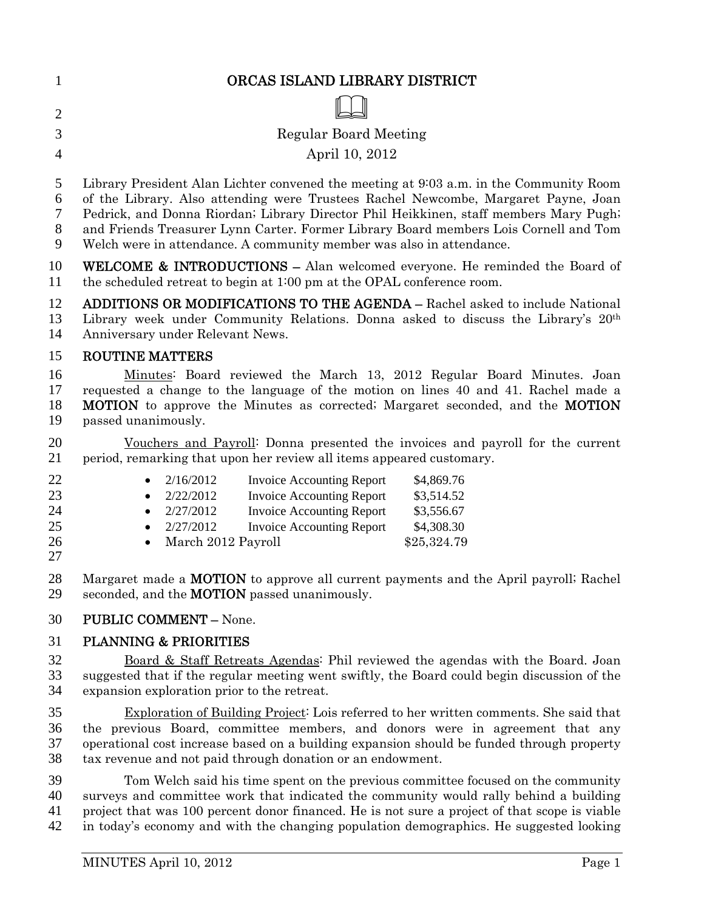|   | ORCAS ISLAND LIBRARY DISTRICT |
|---|-------------------------------|
| 2 | ∭                             |
| 3 | Regular Board Meeting         |
| 4 | April 10, 2012                |

Library President Alan Lichter convened the meeting at 9:03 a.m. in the Community Room

of the Library. Also attending were Trustees Rachel Newcombe, Margaret Payne, Joan

Pedrick, and Donna Riordan; Library Director Phil Heikkinen, staff members Mary Pugh;

and Friends Treasurer Lynn Carter. Former Library Board members Lois Cornell and Tom

Welch were in attendance. A community member was also in attendance.

WELCOME & INTRODUCTIONS – Alan welcomed everyone. He reminded the Board of the scheduled retreat to begin at 1:00 pm at the OPAL conference room.

ADDITIONS OR MODIFICATIONS TO THE AGENDA – Rachel asked to include National 13 Library week under Community Relations. Donna asked to discuss the Library's 20<sup>th</sup> Anniversary under Relevant News.

# ROUTINE MATTERS

Minutes: Board reviewed the March 13, 2012 Regular Board Minutes. Joan requested a change to the language of the motion on lines 40 and 41. Rachel made a **MOTION** to approve the Minutes as corrected; Margaret seconded, and the **MOTION** passed unanimously.

Vouchers and Payroll: Donna presented the invoices and payroll for the current period, remarking that upon her review all items appeared customary.

| 22 |           | 2/16/2012            | <b>Invoice Accounting Report</b> | \$4,869.76  |
|----|-----------|----------------------|----------------------------------|-------------|
| 23 |           | 2/22/2012            | <b>Invoice Accounting Report</b> | \$3,514.52  |
| 24 | $\bullet$ | 2/27/2012            | <b>Invoice Accounting Report</b> | \$3,556.67  |
| 25 |           | 2/27/2012            | <b>Invoice Accounting Report</b> | \$4,308.30  |
| 26 |           | • March 2012 Payroll |                                  | \$25,324.79 |
| 27 |           |                      |                                  |             |

28 Margaret made a **MOTION** to approve all current payments and the April payroll; Rachel seconded, and the MOTION passed unanimously.

## PUBLIC COMMENT – None.

# PLANNING & PRIORITIES

Board & Staff Retreats Agendas: Phil reviewed the agendas with the Board. Joan suggested that if the regular meeting went swiftly, the Board could begin discussion of the expansion exploration prior to the retreat.

Exploration of Building Project: Lois referred to her written comments. She said that the previous Board, committee members, and donors were in agreement that any operational cost increase based on a building expansion should be funded through property tax revenue and not paid through donation or an endowment.

Tom Welch said his time spent on the previous committee focused on the community surveys and committee work that indicated the community would rally behind a building project that was 100 percent donor financed. He is not sure a project of that scope is viable in today's economy and with the changing population demographics. He suggested looking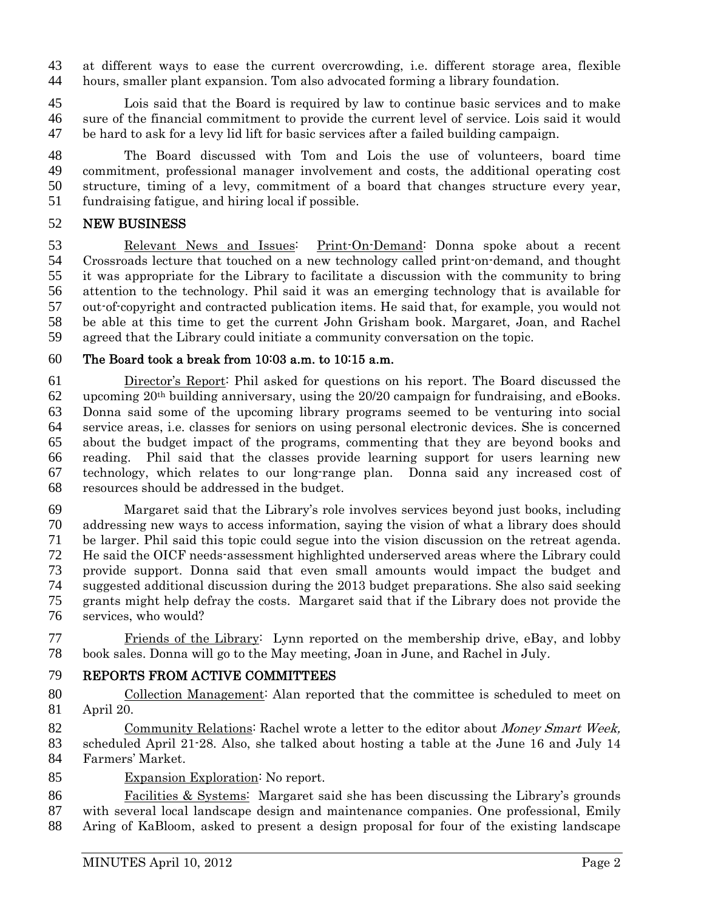at different ways to ease the current overcrowding, i.e. different storage area, flexible hours, smaller plant expansion. Tom also advocated forming a library foundation.

Lois said that the Board is required by law to continue basic services and to make sure of the financial commitment to provide the current level of service. Lois said it would be hard to ask for a levy lid lift for basic services after a failed building campaign.

The Board discussed with Tom and Lois the use of volunteers, board time commitment, professional manager involvement and costs, the additional operating cost structure, timing of a levy, commitment of a board that changes structure every year, fundraising fatigue, and hiring local if possible.

### NEW BUSINESS

Relevant News and Issues: Print-On-Demand: Donna spoke about a recent Crossroads lecture that touched on a new technology called print-on-demand, and thought it was appropriate for the Library to facilitate a discussion with the community to bring attention to the technology. Phil said it was an emerging technology that is available for out-of-copyright and contracted publication items. He said that, for example, you would not be able at this time to get the current John Grisham book. Margaret, Joan, and Rachel agreed that the Library could initiate a community conversation on the topic.

### The Board took a break from 10:03 a.m. to 10:15 a.m.

Director's Report: Phil asked for questions on his report. The Board discussed the 62 upcoming  $20<sup>th</sup>$  building anniversary, using the  $20/20$  campaign for fundraising, and eBooks. Donna said some of the upcoming library programs seemed to be venturing into social service areas, i.e. classes for seniors on using personal electronic devices. She is concerned about the budget impact of the programs, commenting that they are beyond books and reading. Phil said that the classes provide learning support for users learning new technology, which relates to our long-range plan. Donna said any increased cost of resources should be addressed in the budget.

Margaret said that the Library's role involves services beyond just books, including addressing new ways to access information, saying the vision of what a library does should be larger. Phil said this topic could segue into the vision discussion on the retreat agenda. He said the OICF needs-assessment highlighted underserved areas where the Library could provide support. Donna said that even small amounts would impact the budget and suggested additional discussion during the 2013 budget preparations. She also said seeking grants might help defray the costs. Margaret said that if the Library does not provide the services, who would?

Friends of the Library: Lynn reported on the membership drive, eBay, and lobby book sales. Donna will go to the May meeting, Joan in June, and Rachel in July.

### REPORTS FROM ACTIVE COMMITTEES

Collection Management: Alan reported that the committee is scheduled to meet on April 20.

82 Community Relations: Rachel wrote a letter to the editor about Money Smart Week, scheduled April 21-28. Also, she talked about hosting a table at the June 16 and July 14 Farmers' Market.

85 Expansion Exploration: No report.

Facilities & Systems: Margaret said she has been discussing the Library's grounds with several local landscape design and maintenance companies. One professional, Emily Aring of KaBloom, asked to present a design proposal for four of the existing landscape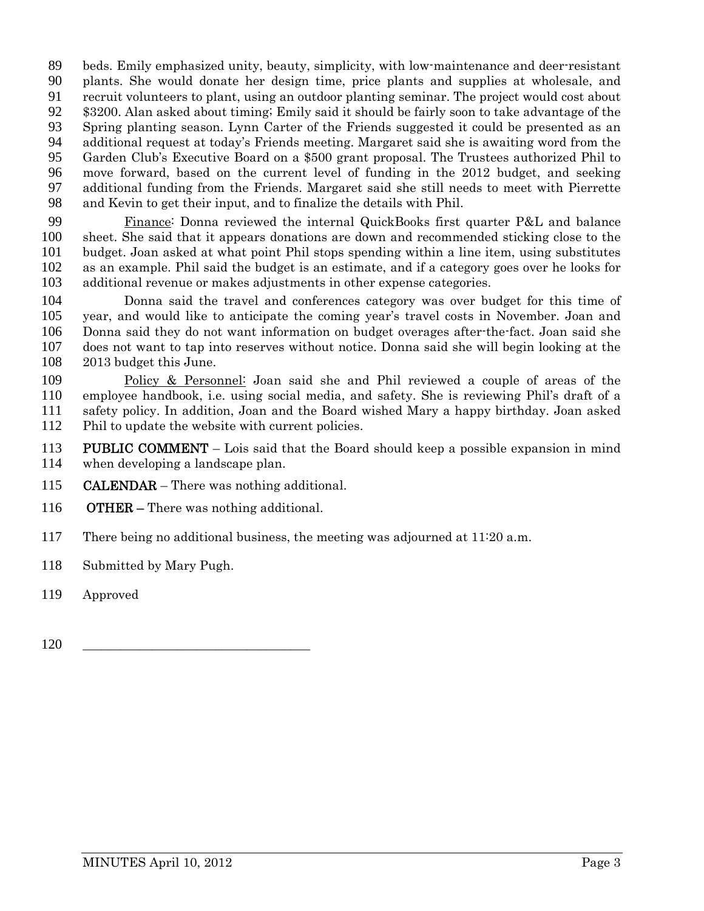beds. Emily emphasized unity, beauty, simplicity, with low-maintenance and deer-resistant plants. She would donate her design time, price plants and supplies at wholesale, and recruit volunteers to plant, using an outdoor planting seminar. The project would cost about \$3200. Alan asked about timing; Emily said it should be fairly soon to take advantage of the Spring planting season. Lynn Carter of the Friends suggested it could be presented as an additional request at today's Friends meeting. Margaret said she is awaiting word from the Garden Club's Executive Board on a \$500 grant proposal. The Trustees authorized Phil to move forward, based on the current level of funding in the 2012 budget, and seeking additional funding from the Friends. Margaret said she still needs to meet with Pierrette and Kevin to get their input, and to finalize the details with Phil.

Finance: Donna reviewed the internal QuickBooks first quarter P&L and balance sheet. She said that it appears donations are down and recommended sticking close to the budget. Joan asked at what point Phil stops spending within a line item, using substitutes as an example. Phil said the budget is an estimate, and if a category goes over he looks for additional revenue or makes adjustments in other expense categories.

Donna said the travel and conferences category was over budget for this time of year, and would like to anticipate the coming year's travel costs in November. Joan and Donna said they do not want information on budget overages after-the-fact. Joan said she does not want to tap into reserves without notice. Donna said she will begin looking at the 2013 budget this June.

Policy & Personnel: Joan said she and Phil reviewed a couple of areas of the employee handbook, i.e. using social media, and safety. She is reviewing Phil's draft of a safety policy. In addition, Joan and the Board wished Mary a happy birthday. Joan asked Phil to update the website with current policies.

113 PUBLIC COMMENT – Lois said that the Board should keep a possible expansion in mind when developing a landscape plan.

- **CALENDAR** There was nothing additional.
- **OTHER** There was nothing additional.
- There being no additional business, the meeting was adjourned at 11:20 a.m.
- Submitted by Mary Pugh.
- Approved
- \_\_\_\_\_\_\_\_\_\_\_\_\_\_\_\_\_\_\_\_\_\_\_\_\_\_\_\_\_\_\_\_\_\_\_\_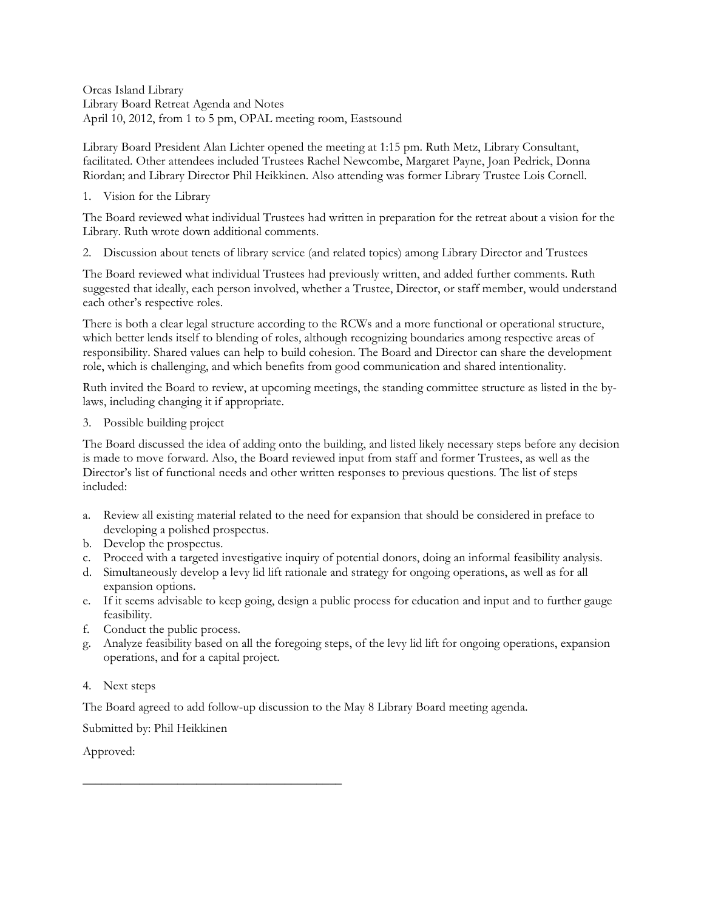Orcas Island Library Library Board Retreat Agenda and Notes April 10, 2012, from 1 to 5 pm, OPAL meeting room, Eastsound

Library Board President Alan Lichter opened the meeting at 1:15 pm. Ruth Metz, Library Consultant, facilitated. Other attendees included Trustees Rachel Newcombe, Margaret Payne, Joan Pedrick, Donna Riordan; and Library Director Phil Heikkinen. Also attending was former Library Trustee Lois Cornell.

#### 1. Vision for the Library

The Board reviewed what individual Trustees had written in preparation for the retreat about a vision for the Library. Ruth wrote down additional comments.

2. Discussion about tenets of library service (and related topics) among Library Director and Trustees

The Board reviewed what individual Trustees had previously written, and added further comments. Ruth suggested that ideally, each person involved, whether a Trustee, Director, or staff member, would understand each other's respective roles.

There is both a clear legal structure according to the RCWs and a more functional or operational structure, which better lends itself to blending of roles, although recognizing boundaries among respective areas of responsibility. Shared values can help to build cohesion. The Board and Director can share the development role, which is challenging, and which benefits from good communication and shared intentionality.

Ruth invited the Board to review, at upcoming meetings, the standing committee structure as listed in the bylaws, including changing it if appropriate.

3. Possible building project

The Board discussed the idea of adding onto the building, and listed likely necessary steps before any decision is made to move forward. Also, the Board reviewed input from staff and former Trustees, as well as the Director's list of functional needs and other written responses to previous questions. The list of steps included:

- a. Review all existing material related to the need for expansion that should be considered in preface to developing a polished prospectus.
- b. Develop the prospectus.
- c. Proceed with a targeted investigative inquiry of potential donors, doing an informal feasibility analysis.
- d. Simultaneously develop a levy lid lift rationale and strategy for ongoing operations, as well as for all expansion options.
- e. If it seems advisable to keep going, design a public process for education and input and to further gauge feasibility.
- f. Conduct the public process.
- g. Analyze feasibility based on all the foregoing steps, of the levy lid lift for ongoing operations, expansion operations, and for a capital project.
- 4. Next steps

The Board agreed to add follow-up discussion to the May 8 Library Board meeting agenda.

Submitted by: Phil Heikkinen

\_\_\_\_\_\_\_\_\_\_\_\_\_\_\_\_\_\_\_\_\_\_\_\_\_\_\_\_\_\_\_\_\_\_\_\_\_\_\_\_\_

Approved: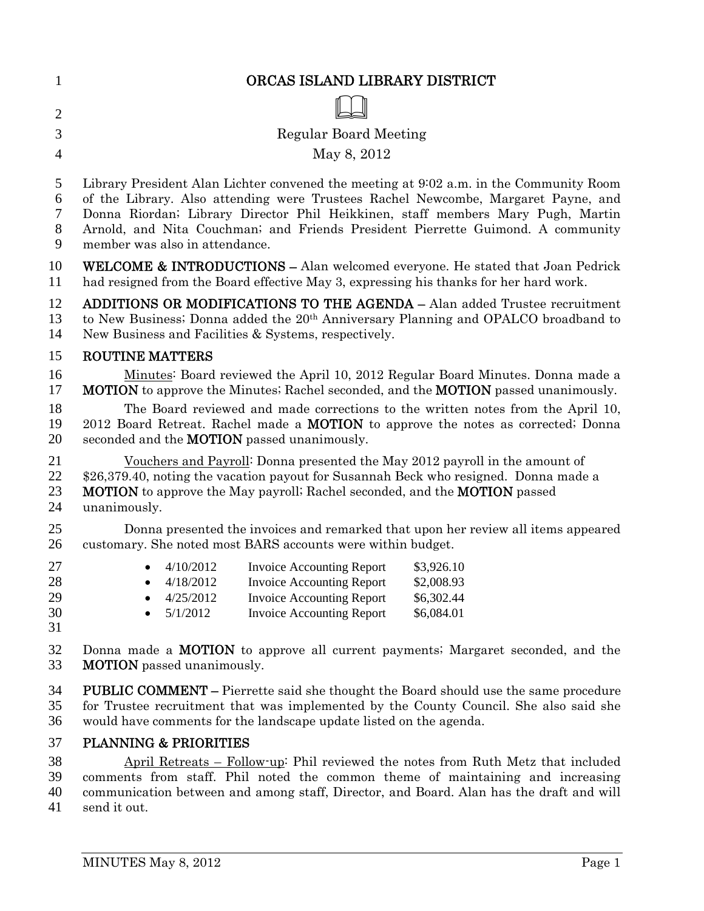| $\mathbf{1}$               | ORCAS ISLAND LIBRARY DISTRICT                                                                                                                                                                                                                           |  |  |
|----------------------------|---------------------------------------------------------------------------------------------------------------------------------------------------------------------------------------------------------------------------------------------------------|--|--|
| $\overline{2}$             |                                                                                                                                                                                                                                                         |  |  |
| 3                          | <b>Regular Board Meeting</b>                                                                                                                                                                                                                            |  |  |
| $\overline{4}$             | May 8, 2012                                                                                                                                                                                                                                             |  |  |
| 5                          | Library President Alan Lichter convened the meeting at 9:02 a.m. in the Community Room                                                                                                                                                                  |  |  |
| 6                          | of the Library. Also attending were Trustees Rachel Newcombe, Margaret Payne, and                                                                                                                                                                       |  |  |
| $\overline{7}$             | Donna Riordan; Library Director Phil Heikkinen, staff members Mary Pugh, Martin                                                                                                                                                                         |  |  |
| $8\,$                      | Arnold, and Nita Couchman; and Friends President Pierrette Guimond. A community                                                                                                                                                                         |  |  |
| 9                          | member was also in attendance.                                                                                                                                                                                                                          |  |  |
| 10                         | WELCOME & INTRODUCTIONS - Alan welcomed everyone. He stated that Joan Pedrick                                                                                                                                                                           |  |  |
| 11                         | had resigned from the Board effective May 3, expressing his thanks for her hard work.                                                                                                                                                                   |  |  |
| 12                         | <b>ADDITIONS OR MODIFICATIONS TO THE AGENDA - Alan added Trustee recruitment</b>                                                                                                                                                                        |  |  |
| 13                         | to New Business; Donna added the 20 <sup>th</sup> Anniversary Planning and OPALCO broadband to                                                                                                                                                          |  |  |
| 14                         | New Business and Facilities & Systems, respectively.                                                                                                                                                                                                    |  |  |
| 15                         | <b>ROUTINE MATTERS</b>                                                                                                                                                                                                                                  |  |  |
| 16                         | Minutes: Board reviewed the April 10, 2012 Regular Board Minutes. Donna made a                                                                                                                                                                          |  |  |
| 17                         | <b>MOTION</b> to approve the Minutes; Rachel seconded, and the <b>MOTION</b> passed unanimously.                                                                                                                                                        |  |  |
| 18                         | The Board reviewed and made corrections to the written notes from the April 10,                                                                                                                                                                         |  |  |
| 19                         | 2012 Board Retreat. Rachel made a <b>MOTION</b> to approve the notes as corrected; Donna                                                                                                                                                                |  |  |
| 20                         | seconded and the <b>MOTION</b> passed unanimously.                                                                                                                                                                                                      |  |  |
| 21                         | Vouchers and Payroll: Donna presented the May 2012 payroll in the amount of                                                                                                                                                                             |  |  |
| 22                         | \$26,379.40, noting the vacation payout for Susannah Beck who resigned. Donna made a                                                                                                                                                                    |  |  |
| 23                         | <b>MOTION</b> to approve the May payroll; Rachel seconded, and the <b>MOTION</b> passed                                                                                                                                                                 |  |  |
| 24                         | unanimously.                                                                                                                                                                                                                                            |  |  |
| 25                         | Donna presented the invoices and remarked that upon her review all items appeared                                                                                                                                                                       |  |  |
| 26                         | customary. She noted most BARS accounts were within budget.                                                                                                                                                                                             |  |  |
| 27<br>28<br>29<br>30<br>31 | 4/10/2012<br><b>Invoice Accounting Report</b><br>\$3,926.10<br>$\bullet$ 4/18/2012 Invoice Accounting Report<br>\$2,008.93<br>4/25/2012<br><b>Invoice Accounting Report</b><br>\$6,302.44<br><b>Invoice Accounting Report</b><br>5/1/2012<br>\$6,084.01 |  |  |
| 32                         | Donna made a <b>MOTION</b> to approve all current payments; Margaret seconded, and the                                                                                                                                                                  |  |  |
| 33                         | <b>MOTION</b> passed unanimously.                                                                                                                                                                                                                       |  |  |
| 34                         | <b>PUBLIC COMMENT</b> – Pierrette said she thought the Board should use the same procedure                                                                                                                                                              |  |  |
| 35                         | for Trustee recruitment that was implemented by the County Council. She also said she                                                                                                                                                                   |  |  |
| 36                         | would have comments for the landscape update listed on the agenda.                                                                                                                                                                                      |  |  |
| 37                         | <b>PLANNING &amp; PRIORITIES</b>                                                                                                                                                                                                                        |  |  |
| 38                         | April Retreats – Follow-up: Phil reviewed the notes from Ruth Metz that included                                                                                                                                                                        |  |  |
| 39                         | comments from staff. Phil noted the common theme of maintaining and increasing                                                                                                                                                                          |  |  |
| 40                         | communication between and among staff, Director, and Board. Alan has the draft and will                                                                                                                                                                 |  |  |

41 send it out.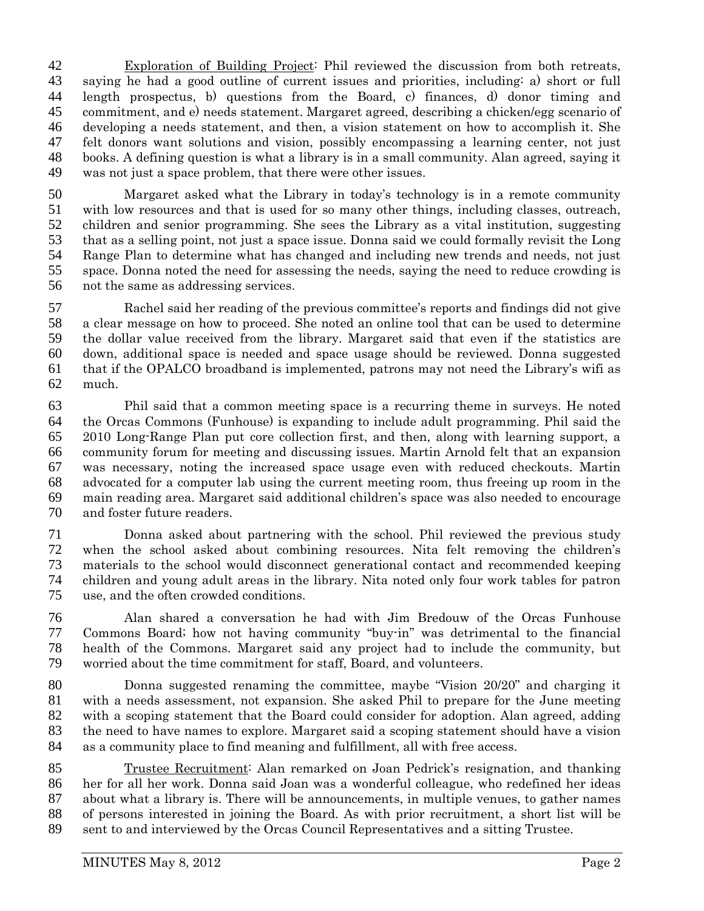Exploration of Building Project: Phil reviewed the discussion from both retreats, saying he had a good outline of current issues and priorities, including: a) short or full length prospectus, b) questions from the Board, c) finances, d) donor timing and commitment, and e) needs statement. Margaret agreed, describing a chicken/egg scenario of developing a needs statement, and then, a vision statement on how to accomplish it. She felt donors want solutions and vision, possibly encompassing a learning center, not just books. A defining question is what a library is in a small community. Alan agreed, saying it was not just a space problem, that there were other issues.

Margaret asked what the Library in today's technology is in a remote community with low resources and that is used for so many other things, including classes, outreach, children and senior programming. She sees the Library as a vital institution, suggesting that as a selling point, not just a space issue. Donna said we could formally revisit the Long Range Plan to determine what has changed and including new trends and needs, not just space. Donna noted the need for assessing the needs, saying the need to reduce crowding is not the same as addressing services.

Rachel said her reading of the previous committee's reports and findings did not give a clear message on how to proceed. She noted an online tool that can be used to determine the dollar value received from the library. Margaret said that even if the statistics are down, additional space is needed and space usage should be reviewed. Donna suggested that if the OPALCO broadband is implemented, patrons may not need the Library's wifi as much.

Phil said that a common meeting space is a recurring theme in surveys. He noted the Orcas Commons (Funhouse) is expanding to include adult programming. Phil said the 2010 Long-Range Plan put core collection first, and then, along with learning support, a community forum for meeting and discussing issues. Martin Arnold felt that an expansion was necessary, noting the increased space usage even with reduced checkouts. Martin advocated for a computer lab using the current meeting room, thus freeing up room in the main reading area. Margaret said additional children's space was also needed to encourage and foster future readers.

Donna asked about partnering with the school. Phil reviewed the previous study when the school asked about combining resources. Nita felt removing the children's materials to the school would disconnect generational contact and recommended keeping children and young adult areas in the library. Nita noted only four work tables for patron use, and the often crowded conditions.

Alan shared a conversation he had with Jim Bredouw of the Orcas Funhouse Commons Board; how not having community "buy-in" was detrimental to the financial health of the Commons. Margaret said any project had to include the community, but worried about the time commitment for staff, Board, and volunteers.

Donna suggested renaming the committee, maybe "Vision 20/20" and charging it with a needs assessment, not expansion. She asked Phil to prepare for the June meeting with a scoping statement that the Board could consider for adoption. Alan agreed, adding the need to have names to explore. Margaret said a scoping statement should have a vision as a community place to find meaning and fulfillment, all with free access.

Trustee Recruitment: Alan remarked on Joan Pedrick's resignation, and thanking her for all her work. Donna said Joan was a wonderful colleague, who redefined her ideas about what a library is. There will be announcements, in multiple venues, to gather names of persons interested in joining the Board. As with prior recruitment, a short list will be sent to and interviewed by the Orcas Council Representatives and a sitting Trustee.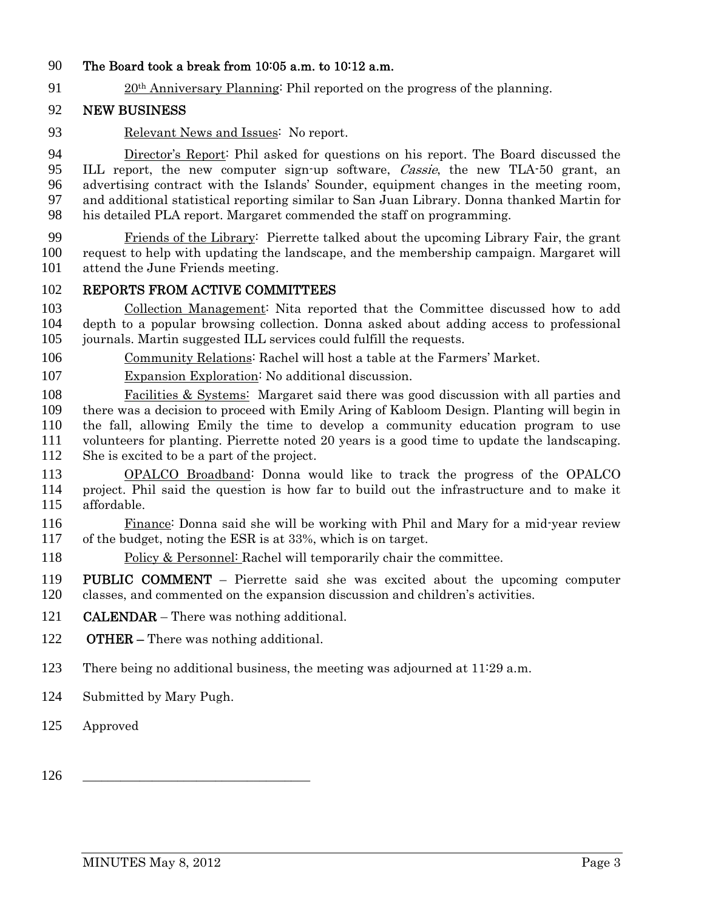## The Board took a break from 10:05 a.m. to 10:12 a.m.

20th Anniversary Planning: Phil reported on the progress of the planning.

### NEW BUSINESS

Relevant News and Issues: No report.

Director's Report: Phil asked for questions on his report. The Board discussed the ILL report, the new computer sign-up software, Cassie, the new TLA-50 grant, an advertising contract with the Islands' Sounder, equipment changes in the meeting room, and additional statistical reporting similar to San Juan Library. Donna thanked Martin for his detailed PLA report. Margaret commended the staff on programming.

Friends of the Library: Pierrette talked about the upcoming Library Fair, the grant request to help with updating the landscape, and the membership campaign. Margaret will attend the June Friends meeting.

#### REPORTS FROM ACTIVE COMMITTEES

Collection Management: Nita reported that the Committee discussed how to add depth to a popular browsing collection. Donna asked about adding access to professional journals. Martin suggested ILL services could fulfill the requests.

Community Relations: Rachel will host a table at the Farmers' Market.

Expansion Exploration: No additional discussion.

Facilities & Systems: Margaret said there was good discussion with all parties and there was a decision to proceed with Emily Aring of Kabloom Design. Planting will begin in the fall, allowing Emily the time to develop a community education program to use volunteers for planting. Pierrette noted 20 years is a good time to update the landscaping. She is excited to be a part of the project.

OPALCO Broadband: Donna would like to track the progress of the OPALCO project. Phil said the question is how far to build out the infrastructure and to make it affordable.

116 Finance: Donna said she will be working with Phil and Mary for a mid-year review of the budget, noting the ESR is at 33%, which is on target.

Policy & Personnel: Rachel will temporarily chair the committee.

PUBLIC COMMENT – Pierrette said she was excited about the upcoming computer classes, and commented on the expansion discussion and children's activities.

- CALENDAR There was nothing additional.
- OTHER There was nothing additional.
- There being no additional business, the meeting was adjourned at 11:29 a.m.
- Submitted by Mary Pugh.
- Approved
- \_\_\_\_\_\_\_\_\_\_\_\_\_\_\_\_\_\_\_\_\_\_\_\_\_\_\_\_\_\_\_\_\_\_\_\_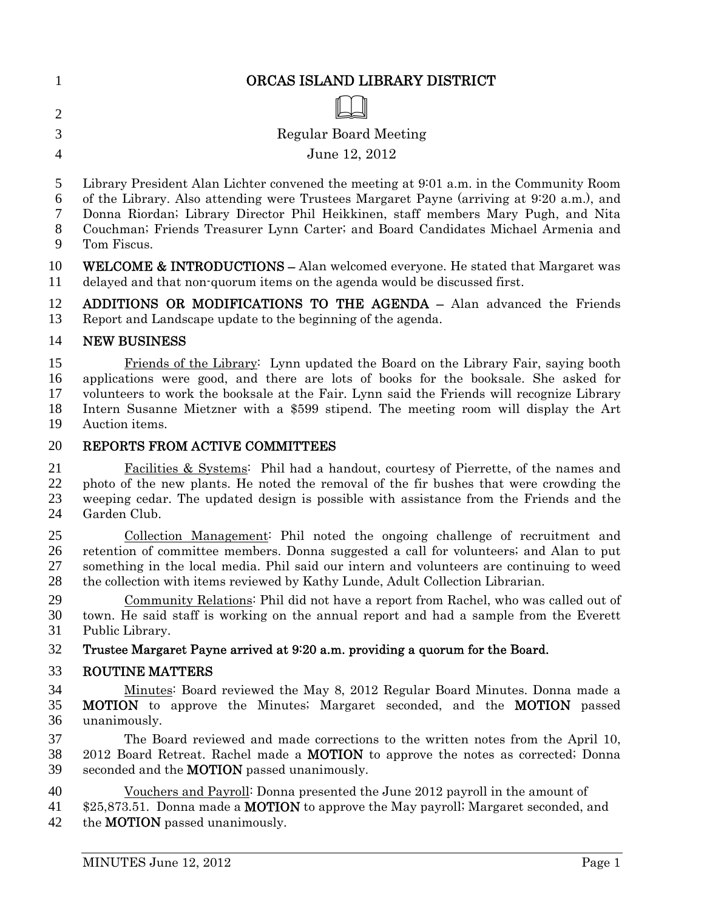| $\mathbf{1}$                           | ORCAS ISLAND LIBRARY DISTRICT                                                                                                                                                                                                                                                                                                                                                                                                                                                                                                                        |
|----------------------------------------|------------------------------------------------------------------------------------------------------------------------------------------------------------------------------------------------------------------------------------------------------------------------------------------------------------------------------------------------------------------------------------------------------------------------------------------------------------------------------------------------------------------------------------------------------|
| $\overline{2}$                         |                                                                                                                                                                                                                                                                                                                                                                                                                                                                                                                                                      |
| 3                                      | <b>Regular Board Meeting</b>                                                                                                                                                                                                                                                                                                                                                                                                                                                                                                                         |
| $\overline{4}$                         | June 12, 2012                                                                                                                                                                                                                                                                                                                                                                                                                                                                                                                                        |
| 5<br>6<br>7<br>8<br>9                  | Library President Alan Lichter convened the meeting at 9:01 a.m. in the Community Room<br>of the Library. Also attending were Trustees Margaret Payne (arriving at 9:20 a.m.), and<br>Donna Riordan; Library Director Phil Heikkinen, staff members Mary Pugh, and Nita<br>Couchman; Friends Treasurer Lynn Carter; and Board Candidates Michael Armenia and<br>Tom Fiscus.                                                                                                                                                                          |
| 10<br>11                               | <b>WELCOME &amp; INTRODUCTIONS</b> – Alan welcomed everyone. He stated that Margaret was<br>delayed and that non-quorum items on the agenda would be discussed first.                                                                                                                                                                                                                                                                                                                                                                                |
| 12<br>13                               | ADDITIONS OR MODIFICATIONS TO THE AGENDA - Alan advanced the Friends<br>Report and Landscape update to the beginning of the agenda.                                                                                                                                                                                                                                                                                                                                                                                                                  |
| 14                                     | <b>NEW BUSINESS</b>                                                                                                                                                                                                                                                                                                                                                                                                                                                                                                                                  |
| 15<br>16<br>17<br>18<br>19             | Friends of the Library: Lynn updated the Board on the Library Fair, saying booth<br>applications were good, and there are lots of books for the booksale. She asked for<br>volunteers to work the booksale at the Fair. Lynn said the Friends will recognize Library<br>Intern Susanne Mietzner with a \$599 stipend. The meeting room will display the Art<br>Auction items.                                                                                                                                                                        |
| 20                                     | REPORTS FROM ACTIVE COMMITTEES                                                                                                                                                                                                                                                                                                                                                                                                                                                                                                                       |
| 21<br>22<br>23<br>24                   | <b>Facilities &amp; Systems:</b> Phil had a handout, courtesy of Pierrette, of the names and<br>photo of the new plants. He noted the removal of the fir bushes that were crowding the<br>weeping cedar. The updated design is possible with assistance from the Friends and the<br>Garden Club.                                                                                                                                                                                                                                                     |
| 25<br>26<br>27<br>28<br>29<br>30<br>31 | Collection Management: Phil noted the ongoing challenge of recruitment and<br>retention of committee members. Donna suggested a call for volunteers; and Alan to put<br>something in the local media. Phil said our intern and volunteers are continuing to weed<br>the collection with items reviewed by Kathy Lunde, Adult Collection Librarian.<br>Community Relations: Phil did not have a report from Rachel, who was called out of<br>town. He said staff is working on the annual report and had a sample from the Everett<br>Public Library. |
| 32                                     | Trustee Margaret Payne arrived at 9:20 a.m. providing a quorum for the Board.                                                                                                                                                                                                                                                                                                                                                                                                                                                                        |
| 33                                     | <b>ROUTINE MATTERS</b>                                                                                                                                                                                                                                                                                                                                                                                                                                                                                                                               |
| 34<br>35<br>36                         | Minutes: Board reviewed the May 8, 2012 Regular Board Minutes. Donna made a<br><b>MOTION</b> to approve the Minutes; Margaret seconded, and the <b>MOTION</b> passed<br>unanimously.                                                                                                                                                                                                                                                                                                                                                                 |
| 37<br>38<br>39                         | The Board reviewed and made corrections to the written notes from the April 10,<br>2012 Board Retreat. Rachel made a <b>MOTION</b> to approve the notes as corrected; Donna<br>seconded and the <b>MOTION</b> passed unanimously.                                                                                                                                                                                                                                                                                                                    |
| 40<br>41<br>42                         | <u>Vouchers and Payroll</u> : Donna presented the June 2012 payroll in the amount of<br>\$25,873.51. Donna made a <b>MOTION</b> to approve the May payroll; Margaret seconded, and<br>the <b>MOTION</b> passed unanimously.                                                                                                                                                                                                                                                                                                                          |
|                                        | MINUTES June 12, 2012<br>Page 1                                                                                                                                                                                                                                                                                                                                                                                                                                                                                                                      |
|                                        |                                                                                                                                                                                                                                                                                                                                                                                                                                                                                                                                                      |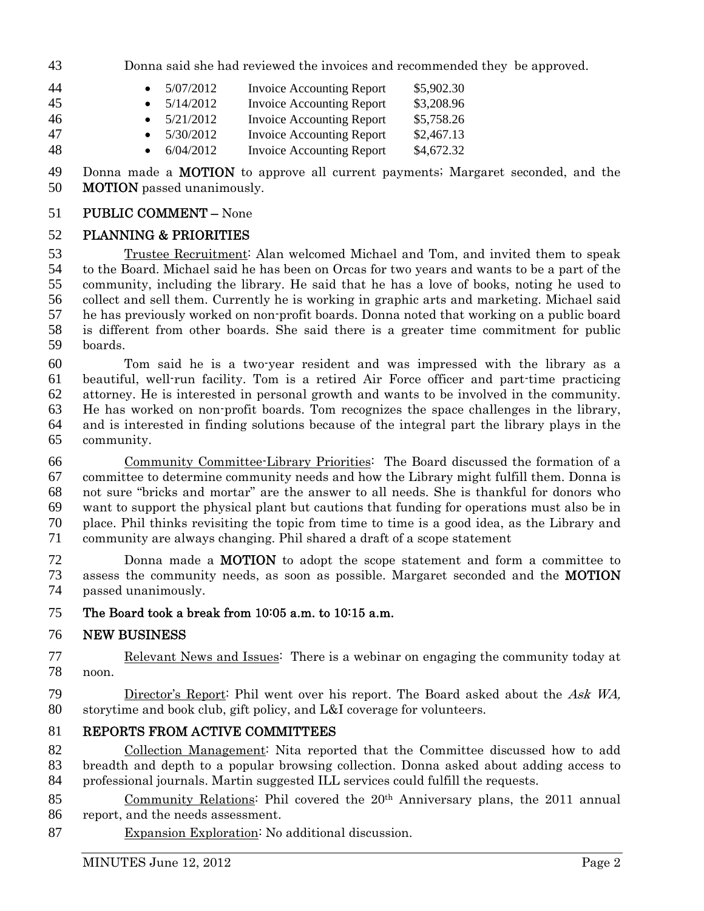Donna said she had reviewed the invoices and recommended they be approved.

| 44 | 5/07/2012           | <b>Invoice Accounting Report</b> | \$5,902.30 |
|----|---------------------|----------------------------------|------------|
| 45 | 5/14/2012           | <b>Invoice Accounting Report</b> | \$3,208.96 |
| 46 | $\bullet$ 5/21/2012 | <b>Invoice Accounting Report</b> | \$5,758.26 |
| 47 | 5/30/2012           | <b>Invoice Accounting Report</b> | \$2,467.13 |
| 48 | • $6/04/2012$       | <b>Invoice Accounting Report</b> | \$4,672.32 |

49 Donna made a **MOTION** to approve all current payments; Margaret seconded, and the MOTION passed unanimously.

#### PUBLIC COMMENT – None

#### PLANNING & PRIORITIES

Trustee Recruitment: Alan welcomed Michael and Tom, and invited them to speak to the Board. Michael said he has been on Orcas for two years and wants to be a part of the community, including the library. He said that he has a love of books, noting he used to collect and sell them. Currently he is working in graphic arts and marketing. Michael said he has previously worked on non-profit boards. Donna noted that working on a public board is different from other boards. She said there is a greater time commitment for public boards.

Tom said he is a two-year resident and was impressed with the library as a beautiful, well-run facility. Tom is a retired Air Force officer and part-time practicing attorney. He is interested in personal growth and wants to be involved in the community. He has worked on non-profit boards. Tom recognizes the space challenges in the library, and is interested in finding solutions because of the integral part the library plays in the community.

Community Committee-Library Priorities: The Board discussed the formation of a committee to determine community needs and how the Library might fulfill them. Donna is not sure "bricks and mortar" are the answer to all needs. She is thankful for donors who want to support the physical plant but cautions that funding for operations must also be in place. Phil thinks revisiting the topic from time to time is a good idea, as the Library and community are always changing. Phil shared a draft of a scope statement

Donna made a MOTION to adopt the scope statement and form a committee to assess the community needs, as soon as possible. Margaret seconded and the MOTION passed unanimously.

#### The Board took a break from 10:05 a.m. to 10:15 a.m.

#### NEW BUSINESS

Relevant News and Issues: There is a webinar on engaging the community today at noon.

Director's Report: Phil went over his report. The Board asked about the Ask WA, storytime and book club, gift policy, and L&I coverage for volunteers.

### REPORTS FROM ACTIVE COMMITTEES

Collection Management: Nita reported that the Committee discussed how to add breadth and depth to a popular browsing collection. Donna asked about adding access to professional journals. Martin suggested ILL services could fulfill the requests.

85 Community Relations: Phil covered the 20<sup>th</sup> Anniversary plans, the 2011 annual report, and the needs assessment.

Expansion Exploration: No additional discussion.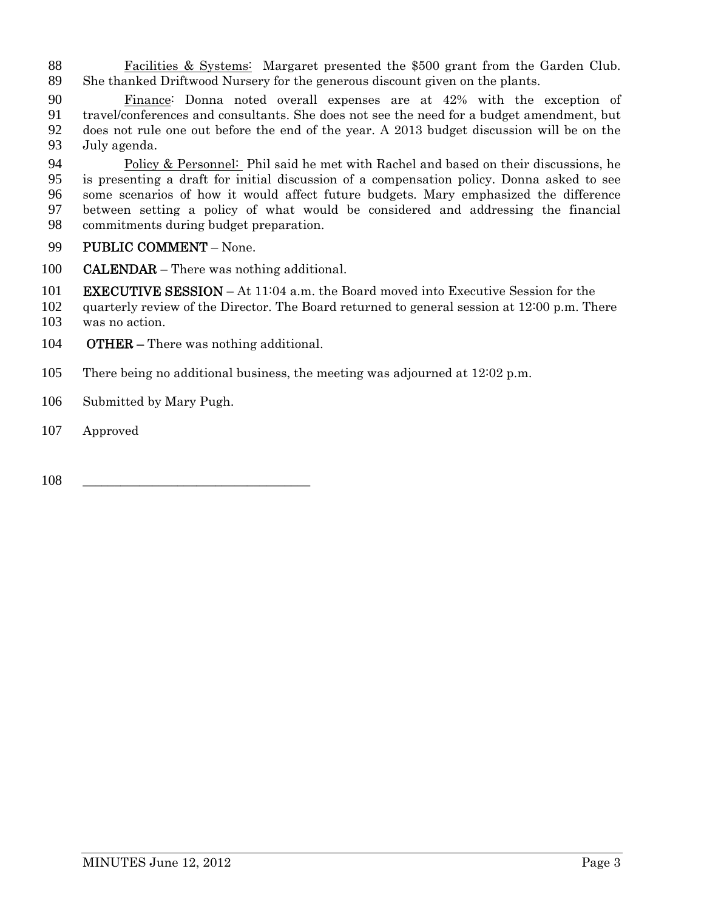Facilities & Systems: Margaret presented the \$500 grant from the Garden Club. She thanked Driftwood Nursery for the generous discount given on the plants.

90 Finance: Donna noted overall expenses are at 42% with the exception of travel/conferences and consultants. She does not see the need for a budget amendment, but travel/conferences and consultants. She does not see the need for a budget amendment, but does not rule one out before the end of the year. A 2013 budget discussion will be on the July agenda.

Policy & Personnel: Phil said he met with Rachel and based on their discussions, he is presenting a draft for initial discussion of a compensation policy. Donna asked to see some scenarios of how it would affect future budgets. Mary emphasized the difference between setting a policy of what would be considered and addressing the financial commitments during budget preparation.

- 99 PUBLIC COMMENT None.
- **CALENDAR** There was nothing additional.
- 101 EXECUTIVE SESSION At 11:04 a.m. the Board moved into Executive Session for the
- quarterly review of the Director. The Board returned to general session at 12:00 p.m. There
- was no action.
- **OTHER** There was nothing additional.
- There being no additional business, the meeting was adjourned at 12:02 p.m.
- Submitted by Mary Pugh.
- Approved
- \_\_\_\_\_\_\_\_\_\_\_\_\_\_\_\_\_\_\_\_\_\_\_\_\_\_\_\_\_\_\_\_\_\_\_\_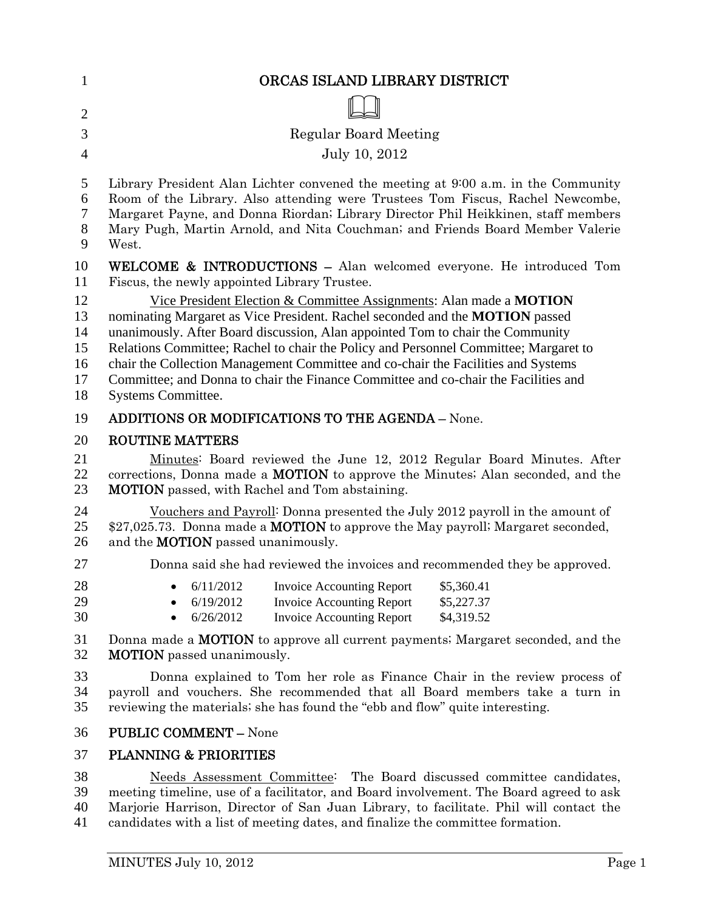| $\mathbf{1}$                           | ORCAS ISLAND LIBRARY DISTRICT                                                                                                                                                                                                                                                                                                                                                                                                                                                                                                   |
|----------------------------------------|---------------------------------------------------------------------------------------------------------------------------------------------------------------------------------------------------------------------------------------------------------------------------------------------------------------------------------------------------------------------------------------------------------------------------------------------------------------------------------------------------------------------------------|
| $\overline{2}$                         |                                                                                                                                                                                                                                                                                                                                                                                                                                                                                                                                 |
| 3                                      | Regular Board Meeting                                                                                                                                                                                                                                                                                                                                                                                                                                                                                                           |
| $\overline{4}$                         | July 10, 2012                                                                                                                                                                                                                                                                                                                                                                                                                                                                                                                   |
| 5<br>6<br>$\tau$<br>8<br>9             | Library President Alan Lichter convened the meeting at 9:00 a.m. in the Community<br>Room of the Library. Also attending were Trustees Tom Fiscus, Rachel Newcombe,<br>Margaret Payne, and Donna Riordan; Library Director Phil Heikkinen, staff members<br>Mary Pugh, Martin Arnold, and Nita Couchman; and Friends Board Member Valerie<br>West.                                                                                                                                                                              |
| 10<br>11                               | WELCOME & INTRODUCTIONS - Alan welcomed everyone. He introduced Tom<br>Fiscus, the newly appointed Library Trustee.                                                                                                                                                                                                                                                                                                                                                                                                             |
| 12<br>13<br>14<br>15<br>16<br>17<br>18 | Vice President Election & Committee Assignments: Alan made a MOTION<br>nominating Margaret as Vice President. Rachel seconded and the MOTION passed<br>unanimously. After Board discussion, Alan appointed Tom to chair the Community<br>Relations Committee; Rachel to chair the Policy and Personnel Committee; Margaret to<br>chair the Collection Management Committee and co-chair the Facilities and Systems<br>Committee; and Donna to chair the Finance Committee and co-chair the Facilities and<br>Systems Committee. |
| 19                                     | <b>ADDITIONS OR MODIFICATIONS TO THE AGENDA - None.</b>                                                                                                                                                                                                                                                                                                                                                                                                                                                                         |
| 20<br>21<br>22<br>23                   | <b>ROUTINE MATTERS</b><br>Minutes: Board reviewed the June 12, 2012 Regular Board Minutes. After<br>corrections, Donna made a <b>MOTION</b> to approve the Minutes; Alan seconded, and the<br><b>MOTION</b> passed, with Rachel and Tom abstaining.                                                                                                                                                                                                                                                                             |
| 24<br>25<br>26                         | Vouchers and Payroll: Donna presented the July 2012 payroll in the amount of<br>\$27,025.73. Donna made a MOTION to approve the May payroll; Margaret seconded,<br>and the <b>MOTION</b> passed unanimously.                                                                                                                                                                                                                                                                                                                    |
| 27                                     | Donna said she had reviewed the invoices and recommended they be approved.                                                                                                                                                                                                                                                                                                                                                                                                                                                      |
| 28<br>29<br>30                         | 6/11/2012<br><b>Invoice Accounting Report</b><br>\$5,360.41<br>6/19/2012<br><b>Invoice Accounting Report</b><br>\$5,227.37<br>6/26/2012<br><b>Invoice Accounting Report</b><br>\$4,319.52                                                                                                                                                                                                                                                                                                                                       |
| 31<br>32                               | Donna made a <b>MOTION</b> to approve all current payments; Margaret seconded, and the<br><b>MOTION</b> passed unanimously.                                                                                                                                                                                                                                                                                                                                                                                                     |
| 33<br>34<br>35                         | Donna explained to Tom her role as Finance Chair in the review process of<br>payroll and vouchers. She recommended that all Board members take a turn in<br>reviewing the materials; she has found the "ebb and flow" quite interesting.                                                                                                                                                                                                                                                                                        |
| 36                                     | <b>PUBLIC COMMENT - None</b>                                                                                                                                                                                                                                                                                                                                                                                                                                                                                                    |
| 37                                     | <b>PLANNING &amp; PRIORITIES</b>                                                                                                                                                                                                                                                                                                                                                                                                                                                                                                |
| 38                                     | Needs Assessment Committee: The Board discussed committee candidates,                                                                                                                                                                                                                                                                                                                                                                                                                                                           |

39 meeting timeline, use of a facilitator, and Board involvement. The Board agreed to ask 40 Marjorie Harrison, Director of San Juan Library, to facilitate. Phil will contact the 41 candidates with a list of meeting dates, and finalize the committee formation.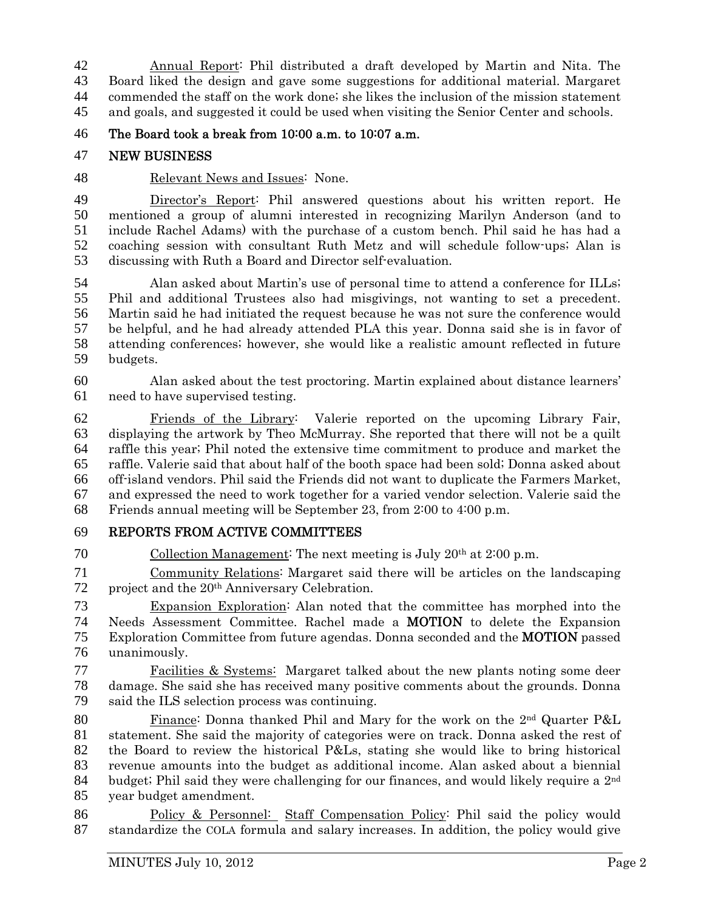Annual Report: Phil distributed a draft developed by Martin and Nita. The Board liked the design and gave some suggestions for additional material. Margaret commended the staff on the work done; she likes the inclusion of the mission statement and goals, and suggested it could be used when visiting the Senior Center and schools.

The Board took a break from 10:00 a.m. to 10:07 a.m.

### NEW BUSINESS

#### Relevant News and Issues: None.

49 Director's Report: Phil answered questions about his written report. He mentioned a group of alumni interested in recognizing Marilyn Anderson (and to include Rachel Adams) with the purchase of a custom bench. Phil said he has had a coaching session with consultant Ruth Metz and will schedule follow-ups; Alan is discussing with Ruth a Board and Director self-evaluation.

Alan asked about Martin's use of personal time to attend a conference for ILLs; Phil and additional Trustees also had misgivings, not wanting to set a precedent. Martin said he had initiated the request because he was not sure the conference would be helpful, and he had already attended PLA this year. Donna said she is in favor of attending conferences; however, she would like a realistic amount reflected in future budgets.

Alan asked about the test proctoring. Martin explained about distance learners' need to have supervised testing.

Friends of the Library: Valerie reported on the upcoming Library Fair, displaying the artwork by Theo McMurray. She reported that there will not be a quilt raffle this year; Phil noted the extensive time commitment to produce and market the raffle. Valerie said that about half of the booth space had been sold; Donna asked about off-island vendors. Phil said the Friends did not want to duplicate the Farmers Market, and expressed the need to work together for a varied vendor selection. Valerie said the Friends annual meeting will be September 23, from 2:00 to 4:00 p.m.

## REPORTS FROM ACTIVE COMMITTEES

70 Collection Management: The next meeting is July  $20<sup>th</sup>$  at  $2:00$  p.m.

Community Relations: Margaret said there will be articles on the landscaping 72 project and the 20<sup>th</sup> Anniversary Celebration.

Expansion Exploration: Alan noted that the committee has morphed into the Needs Assessment Committee. Rachel made a MOTION to delete the Expansion Exploration Committee from future agendas. Donna seconded and the MOTION passed unanimously.

Facilities & Systems: Margaret talked about the new plants noting some deer damage. She said she has received many positive comments about the grounds. Donna said the ILS selection process was continuing.

80 Finance: Donna thanked Phil and Mary for the work on the  $2<sup>nd</sup>$  Quarter P&L statement. She said the majority of categories were on track. Donna asked the rest of the Board to review the historical P&Ls, stating she would like to bring historical revenue amounts into the budget as additional income. Alan asked about a biennial 84 budget; Phil said they were challenging for our finances, and would likely require a  $2<sup>nd</sup>$ year budget amendment.

Policy & Personnel: Staff Compensation Policy: Phil said the policy would standardize the COLA formula and salary increases. In addition, the policy would give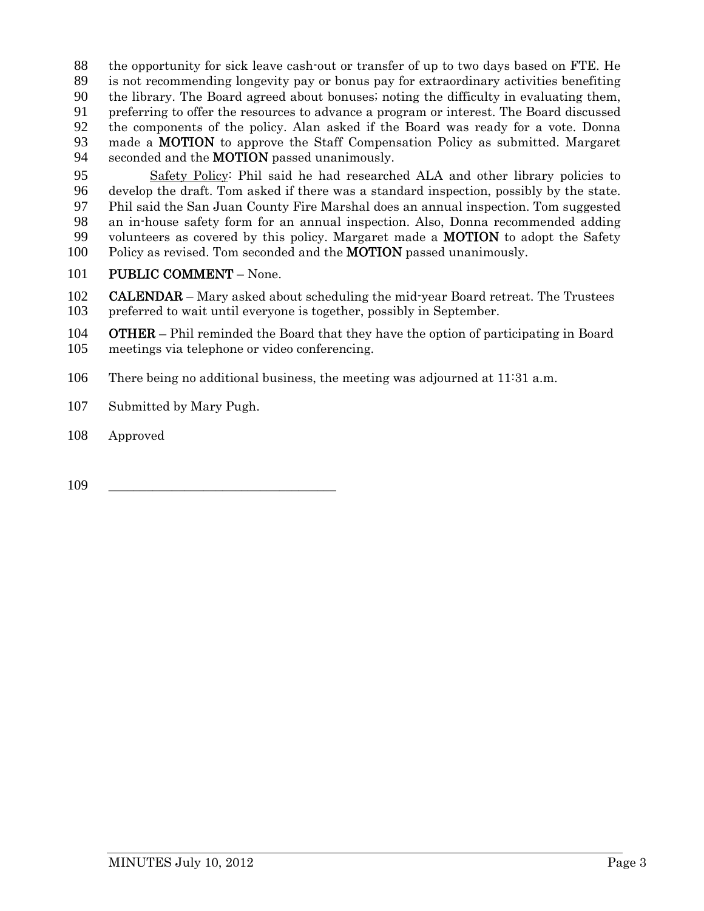the opportunity for sick leave cash-out or transfer of up to two days based on FTE. He is not recommending longevity pay or bonus pay for extraordinary activities benefiting the library. The Board agreed about bonuses; noting the difficulty in evaluating them, preferring to offer the resources to advance a program or interest. The Board discussed the components of the policy. Alan asked if the Board was ready for a vote. Donna made a MOTION to approve the Staff Compensation Policy as submitted. Margaret 94 seconded and the **MOTION** passed unanimously.

Safety Policy: Phil said he had researched ALA and other library policies to develop the draft. Tom asked if there was a standard inspection, possibly by the state. Phil said the San Juan County Fire Marshal does an annual inspection. Tom suggested an in-house safety form for an annual inspection. Also, Donna recommended adding 99 volunteers as covered by this policy. Margaret made a **MOTION** to adopt the Safety 100 Policy as revised. Tom seconded and the **MOTION** passed unanimously.

101 PUBLIC COMMENT – None.

**CALENDAR** – Mary asked about scheduling the mid-year Board retreat. The Trustees preferred to wait until everyone is together, possibly in September.

**OTHER** – Phil reminded the Board that they have the option of participating in Board meetings via telephone or video conferencing.

- There being no additional business, the meeting was adjourned at 11:31 a.m.
- Submitted by Mary Pugh.
- Approved

\_\_\_\_\_\_\_\_\_\_\_\_\_\_\_\_\_\_\_\_\_\_\_\_\_\_\_\_\_\_\_\_\_\_\_\_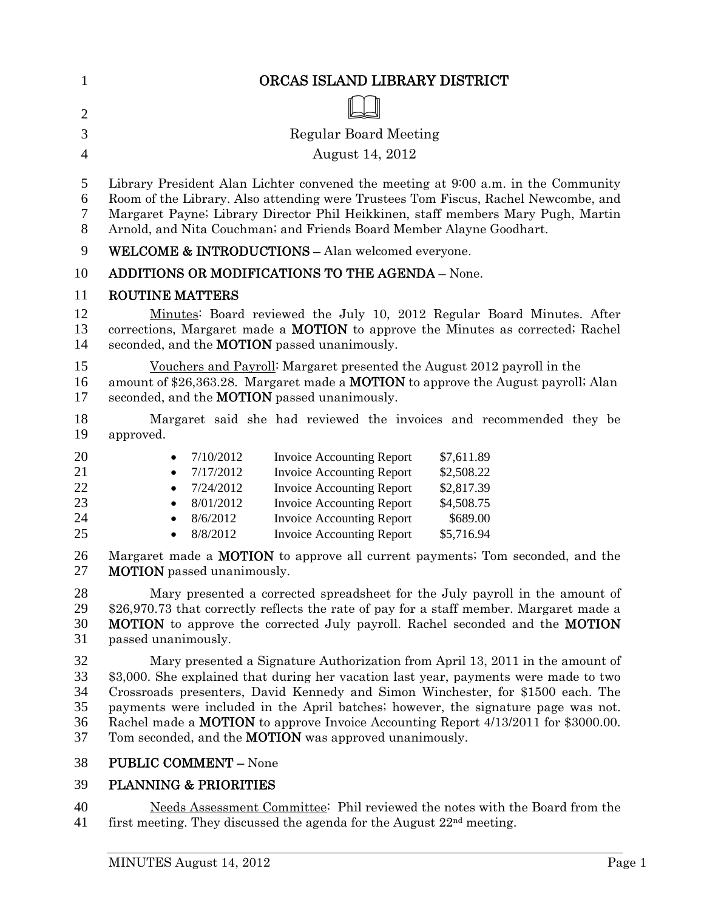| $\mathbf{1}$                     | ORCAS ISLAND LIBRARY DISTRICT                                                                                                                                                                                                                                                                                                                                                                                                                                                                               |
|----------------------------------|-------------------------------------------------------------------------------------------------------------------------------------------------------------------------------------------------------------------------------------------------------------------------------------------------------------------------------------------------------------------------------------------------------------------------------------------------------------------------------------------------------------|
| $\overline{2}$                   |                                                                                                                                                                                                                                                                                                                                                                                                                                                                                                             |
| 3                                | <b>Regular Board Meeting</b>                                                                                                                                                                                                                                                                                                                                                                                                                                                                                |
| $\overline{4}$                   | August 14, 2012                                                                                                                                                                                                                                                                                                                                                                                                                                                                                             |
| 5<br>6<br>7<br>8                 | Library President Alan Lichter convened the meeting at 9:00 a.m. in the Community<br>Room of the Library. Also attending were Trustees Tom Fiscus, Rachel Newcombe, and<br>Margaret Payne; Library Director Phil Heikkinen, staff members Mary Pugh, Martin<br>Arnold, and Nita Couchman; and Friends Board Member Alayne Goodhart.                                                                                                                                                                         |
| 9                                | <b>WELCOME &amp; INTRODUCTIONS - Alan welcomed everyone.</b>                                                                                                                                                                                                                                                                                                                                                                                                                                                |
| 10                               | <b>ADDITIONS OR MODIFICATIONS TO THE AGENDA - None.</b>                                                                                                                                                                                                                                                                                                                                                                                                                                                     |
| 11                               | <b>ROUTINE MATTERS</b>                                                                                                                                                                                                                                                                                                                                                                                                                                                                                      |
| 12<br>13<br>14                   | Minutes: Board reviewed the July 10, 2012 Regular Board Minutes. After<br>corrections, Margaret made a <b>MOTION</b> to approve the Minutes as corrected; Rachel<br>seconded, and the <b>MOTION</b> passed unanimously.                                                                                                                                                                                                                                                                                     |
| 15<br>16<br>17                   | Vouchers and Payroll: Margaret presented the August 2012 payroll in the<br>amount of \$26,363.28. Margaret made a <b>MOTION</b> to approve the August payroll; Alan<br>seconded, and the <b>MOTION</b> passed unanimously.                                                                                                                                                                                                                                                                                  |
| 18<br>19                         | Margaret said she had reviewed the invoices and recommended they be<br>approved.                                                                                                                                                                                                                                                                                                                                                                                                                            |
| 20<br>21<br>22<br>23<br>24<br>25 | 7/10/2012<br><b>Invoice Accounting Report</b><br>\$7,611.89<br>٠<br><b>Invoice Accounting Report</b><br>7/17/2012<br>\$2,508.22<br>$\bullet$<br>7/24/2012<br><b>Invoice Accounting Report</b><br>\$2,817.39<br>$\bullet$<br>8/01/2012<br><b>Invoice Accounting Report</b><br>\$4,508.75<br>$\bullet$<br><b>Invoice Accounting Report</b><br>\$689.00<br>8/6/2012<br>$\bullet$<br>8/8/2012<br><b>Invoice Accounting Report</b><br>\$5,716.94                                                                 |
| 26<br>27                         | Margaret made a <b>MOTION</b> to approve all current payments; Tom seconded, and the<br><b>MOTION</b> passed unanimously.                                                                                                                                                                                                                                                                                                                                                                                   |
| 28<br>29<br>30<br>31             | Mary presented a corrected spreadsheet for the July payroll in the amount of<br>\$26,970.73 that correctly reflects the rate of pay for a staff member. Margaret made a<br><b>MOTION</b> to approve the corrected July payroll. Rachel seconded and the <b>MOTION</b><br>passed unanimously.                                                                                                                                                                                                                |
| 32<br>33<br>34<br>35<br>36<br>37 | Mary presented a Signature Authorization from April 13, 2011 in the amount of<br>\$3,000. She explained that during her vacation last year, payments were made to two<br>Crossroads presenters, David Kennedy and Simon Winchester, for \$1500 each. The<br>payments were included in the April batches; however, the signature page was not.<br>Rachel made a <b>MOTION</b> to approve Invoice Accounting Report 4/13/2011 for \$3000.00.<br>Tom seconded, and the <b>MOTION</b> was approved unanimously. |

# 38 PUBLIC COMMENT – None

## 39 PLANNING & PRIORITIES

40 Needs Assessment Committee: Phil reviewed the notes with the Board from the 41 first meeting. They discussed the agenda for the August  $22<sup>nd</sup>$  meeting.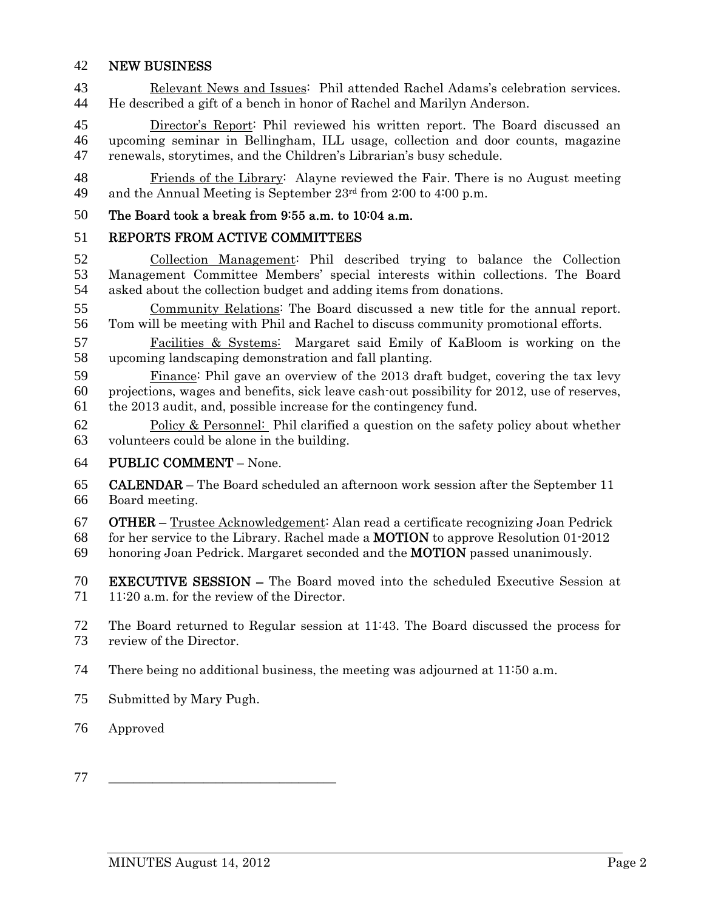#### NEW BUSINESS

Relevant News and Issues: Phil attended Rachel Adams's celebration services. He described a gift of a bench in honor of Rachel and Marilyn Anderson.

Director's Report: Phil reviewed his written report. The Board discussed an upcoming seminar in Bellingham, ILL usage, collection and door counts, magazine renewals, storytimes, and the Children's Librarian's busy schedule.

Friends of the Library: Alayne reviewed the Fair. There is no August meeting 49 and the Annual Meeting is September  $23<sup>rd</sup>$  from 2:00 to 4:00 p.m.

#### The Board took a break from 9:55 a.m. to 10:04 a.m.

#### REPORTS FROM ACTIVE COMMITTEES

Collection Management: Phil described trying to balance the Collection Management Committee Members' special interests within collections. The Board asked about the collection budget and adding items from donations.

Community Relations: The Board discussed a new title for the annual report. Tom will be meeting with Phil and Rachel to discuss community promotional efforts.

Facilities & Systems: Margaret said Emily of KaBloom is working on the upcoming landscaping demonstration and fall planting.

Finance: Phil gave an overview of the 2013 draft budget, covering the tax levy projections, wages and benefits, sick leave cash-out possibility for 2012, use of reserves, the 2013 audit, and, possible increase for the contingency fund.

Policy & Personnel: Phil clarified a question on the safety policy about whether volunteers could be alone in the building.

#### PUBLIC COMMENT – None.

CALENDAR – The Board scheduled an afternoon work session after the September 11 Board meeting.

OTHER – Trustee Acknowledgement: Alan read a certificate recognizing Joan Pedrick

for her service to the Library. Rachel made a MOTION to approve Resolution 01-2012

honoring Joan Pedrick. Margaret seconded and the MOTION passed unanimously.

EXECUTIVE SESSION – The Board moved into the scheduled Executive Session at 71 11:20 a.m. for the review of the Director.

The Board returned to Regular session at 11:43. The Board discussed the process for review of the Director.

There being no additional business, the meeting was adjourned at 11:50 a.m.

Submitted by Mary Pugh.

### Approved

\_\_\_\_\_\_\_\_\_\_\_\_\_\_\_\_\_\_\_\_\_\_\_\_\_\_\_\_\_\_\_\_\_\_\_\_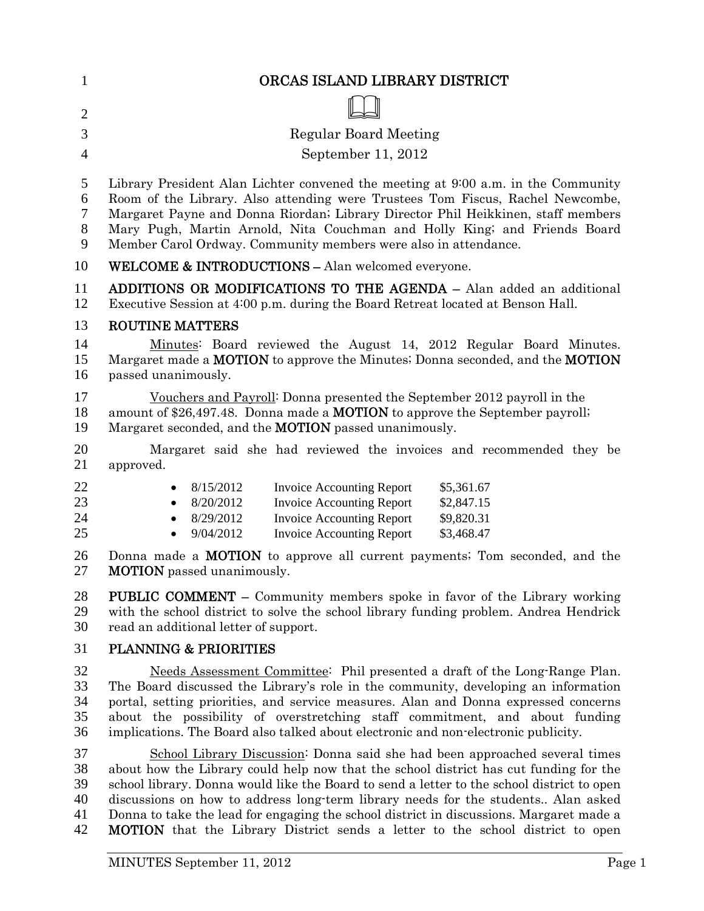| 1                          | ORCAS ISLAND LIBRARY DISTRICT                                                                                                                                                                                                                                                                                                                                                                                                |
|----------------------------|------------------------------------------------------------------------------------------------------------------------------------------------------------------------------------------------------------------------------------------------------------------------------------------------------------------------------------------------------------------------------------------------------------------------------|
| $\overline{2}$             |                                                                                                                                                                                                                                                                                                                                                                                                                              |
| 3                          | <b>Regular Board Meeting</b>                                                                                                                                                                                                                                                                                                                                                                                                 |
| $\overline{4}$             | September 11, 2012                                                                                                                                                                                                                                                                                                                                                                                                           |
| 5                          | Library President Alan Lichter convened the meeting at 9:00 a.m. in the Community                                                                                                                                                                                                                                                                                                                                            |
| 6<br>7<br>$8\,$<br>9       | Room of the Library. Also attending were Trustees Tom Fiscus, Rachel Newcombe,<br>Margaret Payne and Donna Riordan; Library Director Phil Heikkinen, staff members<br>Mary Pugh, Martin Arnold, Nita Couchman and Holly King; and Friends Board<br>Member Carol Ordway. Community members were also in attendance.                                                                                                           |
| 10                         | <b>WELCOME &amp; INTRODUCTIONS - Alan welcomed everyone.</b>                                                                                                                                                                                                                                                                                                                                                                 |
| 11<br>12                   | <b>ADDITIONS OR MODIFICATIONS TO THE AGENDA - Alan added an additional</b><br>Executive Session at 4:00 p.m. during the Board Retreat located at Benson Hall.                                                                                                                                                                                                                                                                |
| 13                         | <b>ROUTINE MATTERS</b>                                                                                                                                                                                                                                                                                                                                                                                                       |
| 14<br>15<br>16             | Minutes: Board reviewed the August 14, 2012 Regular Board Minutes.<br>Margaret made a <b>MOTION</b> to approve the Minutes; Donna seconded, and the <b>MOTION</b><br>passed unanimously.                                                                                                                                                                                                                                     |
| 17<br>18<br>19             | Vouchers and Payroll: Donna presented the September 2012 payroll in the<br>amount of \$26,497.48. Donna made a <b>MOTION</b> to approve the September payroll;<br>Margaret seconded, and the <b>MOTION</b> passed unanimously.                                                                                                                                                                                               |
| 20<br>21                   | Margaret said she had reviewed the invoices and recommended they be<br>approved.                                                                                                                                                                                                                                                                                                                                             |
| 22                         | 8/15/2012<br><b>Invoice Accounting Report</b><br>\$5,361.67<br>$\bullet$                                                                                                                                                                                                                                                                                                                                                     |
| 23                         | <b>Invoice Accounting Report</b><br>8/20/2012<br>\$2,847.15<br>$\bullet$                                                                                                                                                                                                                                                                                                                                                     |
| 24<br>25                   | <b>Invoice Accounting Report</b><br>8/29/2012<br>\$9,820.31<br>$\bullet$<br>9/04/2012<br><b>Invoice Accounting Report</b><br>\$3,468.47                                                                                                                                                                                                                                                                                      |
| 26<br>27                   | Donna made a <b>MOTION</b> to approve all current payments; Tom seconded, and the<br><b>MOTION</b> passed unanimously.                                                                                                                                                                                                                                                                                                       |
| 28<br>29<br>30             | <b>PUBLIC COMMENT</b> – Community members spoke in favor of the Library working<br>with the school district to solve the school library funding problem. Andrea Hendrick<br>read an additional letter of support.                                                                                                                                                                                                            |
| 31                         | <b>PLANNING &amp; PRIORITIES</b>                                                                                                                                                                                                                                                                                                                                                                                             |
| 32<br>33<br>34<br>35<br>36 | Needs Assessment Committee: Phil presented a draft of the Long-Range Plan.<br>The Board discussed the Library's role in the community, developing an information<br>portal, setting priorities, and service measures. Alan and Donna expressed concerns<br>about the possibility of overstretching staff commitment, and about funding<br>implications. The Board also talked about electronic and non-electronic publicity. |
| 37<br>38<br>39             | School Library Discussion: Donna said she had been approached several times<br>about how the Library could help now that the school district has cut funding for the<br>school library. Donna would like the Board to send a letter to the school district to open                                                                                                                                                           |

discussions on how to address long-term library needs for the students.. Alan asked 41 Donna to take the lead for engaging the school district in discussions. Margaret made a<br>42 **MOTION** that the Library District sends a letter to the school district to open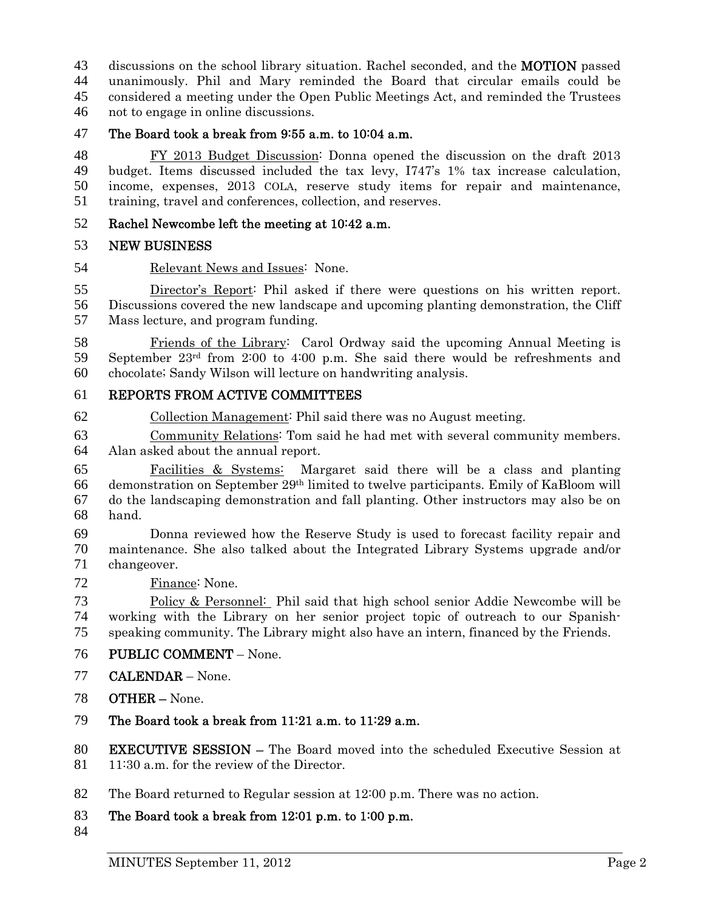43 discussions on the school library situation. Rachel seconded, and the **MOTION** passed unanimously. Phil and Mary reminded the Board that circular emails could be considered a meeting under the Open Public Meetings Act, and reminded the Trustees not to engage in online discussions.

The Board took a break from 9:55 a.m. to 10:04 a.m.

FY 2013 Budget Discussion: Donna opened the discussion on the draft 2013 budget. Items discussed included the tax levy, I747's 1% tax increase calculation, income, expenses, 2013 COLA, reserve study items for repair and maintenance, training, travel and conferences, collection, and reserves.

#### Rachel Newcombe left the meeting at 10:42 a.m.

#### NEW BUSINESS

Relevant News and Issues: None.

Director's Report: Phil asked if there were questions on his written report. Discussions covered the new landscape and upcoming planting demonstration, the Cliff Mass lecture, and program funding.

Friends of the Library: Carol Ordway said the upcoming Annual Meeting is 59 September 23<sup>rd</sup> from 2:00 to 4:00 p.m. She said there would be refreshments and chocolate; Sandy Wilson will lecture on handwriting analysis.

#### REPORTS FROM ACTIVE COMMITTEES

Collection Management: Phil said there was no August meeting.

Community Relations: Tom said he had met with several community members. Alan asked about the annual report.

Facilities & Systems: Margaret said there will be a class and planting 66 demonstration on September  $29<sup>th</sup>$  limited to twelve participants. Emily of KaBloom will do the landscaping demonstration and fall planting. Other instructors may also be on hand.

Donna reviewed how the Reserve Study is used to forecast facility repair and maintenance. She also talked about the Integrated Library Systems upgrade and/or changeover.

Finance: None.

Policy & Personnel: Phil said that high school senior Addie Newcombe will be working with the Library on her senior project topic of outreach to our Spanish-speaking community. The Library might also have an intern, financed by the Friends.

- PUBLIC COMMENT None.
- CALENDAR None.
- OTHER None.
- The Board took a break from 11:21 a.m. to 11:29 a.m.

EXECUTIVE SESSION – The Board moved into the scheduled Executive Session at 81 11:30 a.m. for the review of the Director.

- The Board returned to Regular session at 12:00 p.m. There was no action.
- The Board took a break from 12:01 p.m. to 1:00 p.m.
-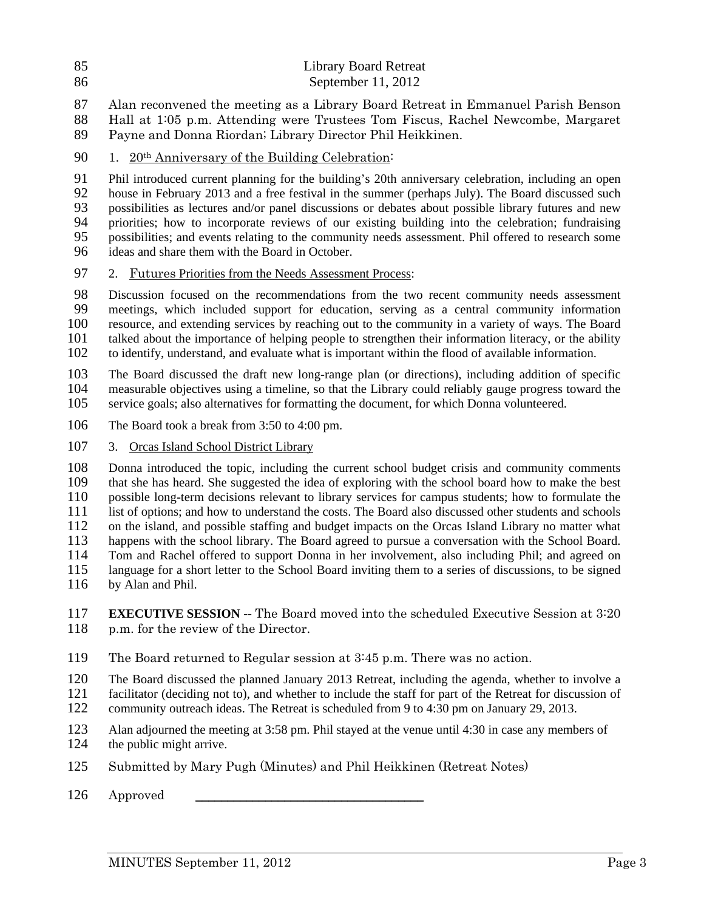- 85 Library Board Retreat
- 86 September 11, 2012
- 87 Alan reconvened the meeting as a Library Board Retreat in Emmanuel Parish Benson
- 88 Hall at 1:05 p.m. Attending were Trustees Tom Fiscus, Rachel Newcombe, Margaret
- 89 Payne and Donna Riordan; Library Director Phil Heikkinen.
- 90  $1.$  20<sup>th</sup> Anniversary of the Building Celebration:

91 Phil introduced current planning for the building's 20th anniversary celebration, including an open<br>92 house in February 2013 and a free festival in the summer (perhaps July). The Board discussed such house in February 2013 and a free festival in the summer (perhaps July). The Board discussed such 93 possibilities as lectures and/or panel discussions or debates about possible library futures and new 94 priorities; how to incorporate reviews of our existing building into the celebration; fundraising 95 possibilities; and events relating to the community needs assessment. Phil offered to research some 96 ideas and share them with the Board in October.

97 2. Futures Priorities from the Needs Assessment Process:

98 Discussion focused on the recommendations from the two recent community needs assessment<br>99 meetings, which included support for education, serving as a central community information 99 meetings, which included support for education, serving as a central community information 100 resource, and extending services by reaching out to the community in a variety of ways. The Board 101 talked about the importance of helping people to strengthen their information literacy, or the ability 102 to identify, understand, and evaluate what is important within the flood of available information.

103 The Board discussed the draft new long-range plan (or directions), including addition of specific<br>104 measurable objectives using a timeline, so that the Library could reliably gauge progress toward the 104 measurable objectives using a timeline, so that the Library could reliably gauge progress toward the 105 service goals; also alternatives for formatting the document, for which Donna volunteered.

- 106 The Board took a break from 3:50 to 4:00 pm.
- 107 3. Orcas Island School District Library

108 Donna introduced the topic, including the current school budget crisis and community comments<br>109 that she has heard. She suggested the idea of exploring with the school board how to make the best that she has heard. She suggested the idea of exploring with the school board how to make the best 110 possible long-term decisions relevant to library services for campus students; how to formulate the 111 list of options; and how to understand the costs. The Board also discussed other students and schools<br>112 on the island, and possible staffing and budget impacts on the Orcas Island Library no matter what 112 on the island, and possible staffing and budget impacts on the Orcas Island Library no matter what<br>113 happens with the school library. The Board agreed to pursue a conversation with the School Board. happens with the school library. The Board agreed to pursue a conversation with the School Board. 114 Tom and Rachel offered to support Donna in her involvement, also including Phil; and agreed on 115 language for a short letter to the School Board inviting them to a series of discussions, to be signed 116 by Alan and Phil.

117 **EXECUTIVE SESSION --** The Board moved into the scheduled Executive Session at 3:20 118 p.m. for the review of the Director.

- 119 The Board returned to Regular session at 3:45 p.m. There was no action.
- 120 The Board discussed the planned January 2013 Retreat, including the agenda, whether to involve a
- 121 facilitator (deciding not to), and whether to include the staff for part of the Retreat for discussion of
- 122 community outreach ideas. The Retreat is scheduled from 9 to 4:30 pm on January 29, 2013.
- 123 Alan adjourned the meeting at 3:58 pm. Phil stayed at the venue until 4:30 in case any members of 124 the public might arrive.
- 125 Submitted by Mary Pugh (Minutes) and Phil Heikkinen (Retreat Notes)
- 126 Approved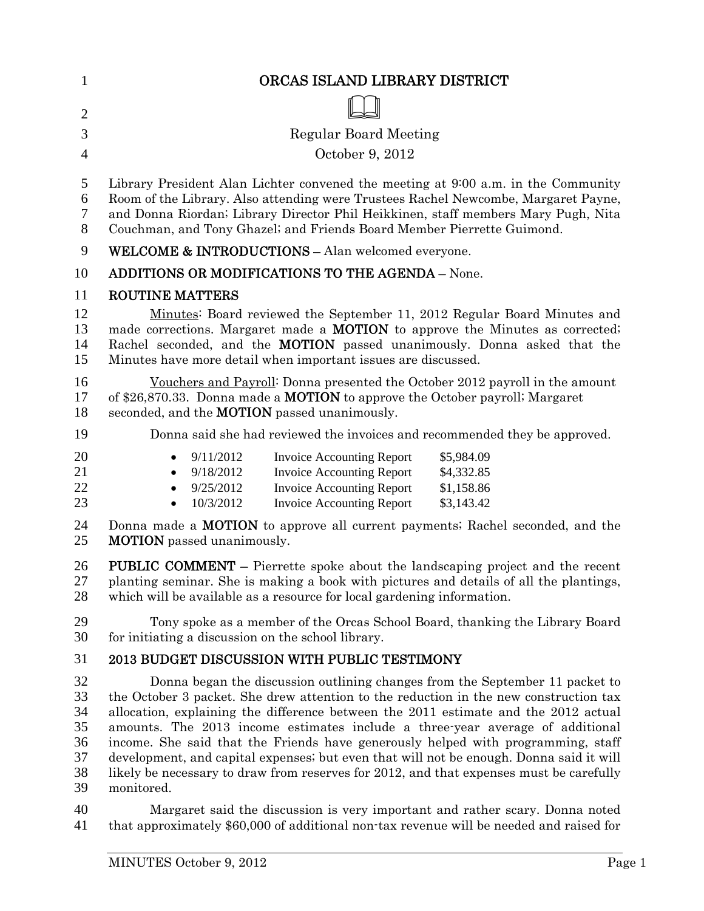| $\mathbf{1}$                                 | ORCAS ISLAND LIBRARY DISTRICT                                                                                                                                                                                                                                                                                                                                                                                                                                                                                                                                                                                                         |
|----------------------------------------------|---------------------------------------------------------------------------------------------------------------------------------------------------------------------------------------------------------------------------------------------------------------------------------------------------------------------------------------------------------------------------------------------------------------------------------------------------------------------------------------------------------------------------------------------------------------------------------------------------------------------------------------|
| $\overline{2}$                               |                                                                                                                                                                                                                                                                                                                                                                                                                                                                                                                                                                                                                                       |
| 3                                            | <b>Regular Board Meeting</b>                                                                                                                                                                                                                                                                                                                                                                                                                                                                                                                                                                                                          |
| 4                                            | October 9, 2012                                                                                                                                                                                                                                                                                                                                                                                                                                                                                                                                                                                                                       |
| 5<br>6<br>$\tau$<br>8                        | Library President Alan Lichter convened the meeting at 9:00 a.m. in the Community<br>Room of the Library. Also attending were Trustees Rachel Newcombe, Margaret Payne,<br>and Donna Riordan; Library Director Phil Heikkinen, staff members Mary Pugh, Nita<br>Couchman, and Tony Ghazel; and Friends Board Member Pierrette Guimond.                                                                                                                                                                                                                                                                                                |
| 9                                            | <b>WELCOME &amp; INTRODUCTIONS - Alan welcomed everyone.</b>                                                                                                                                                                                                                                                                                                                                                                                                                                                                                                                                                                          |
| 10                                           | <b>ADDITIONS OR MODIFICATIONS TO THE AGENDA - None.</b>                                                                                                                                                                                                                                                                                                                                                                                                                                                                                                                                                                               |
| 11                                           | <b>ROUTINE MATTERS</b>                                                                                                                                                                                                                                                                                                                                                                                                                                                                                                                                                                                                                |
| 12<br>13<br>14<br>15                         | Minutes: Board reviewed the September 11, 2012 Regular Board Minutes and<br>made corrections. Margaret made a <b>MOTION</b> to approve the Minutes as corrected;<br>Rachel seconded, and the <b>MOTION</b> passed unanimously. Donna asked that the<br>Minutes have more detail when important issues are discussed.                                                                                                                                                                                                                                                                                                                  |
| 16<br>17<br>18                               | Vouchers and Payroll: Donna presented the October 2012 payroll in the amount<br>of \$26,870.33. Donna made a <b>MOTION</b> to approve the October payroll; Margaret<br>seconded, and the <b>MOTION</b> passed unanimously.                                                                                                                                                                                                                                                                                                                                                                                                            |
| 19                                           | Donna said she had reviewed the invoices and recommended they be approved.                                                                                                                                                                                                                                                                                                                                                                                                                                                                                                                                                            |
| 20<br>21<br>22<br>23                         | 9/11/2012<br>\$5,984.09<br><b>Invoice Accounting Report</b><br>٠<br>9/18/2012<br><b>Invoice Accounting Report</b><br>\$4,332.85<br><b>Invoice Accounting Report</b><br>9/25/2012<br>\$1,158.86<br>10/3/2012<br><b>Invoice Accounting Report</b><br>\$3,143.42<br>$\bullet$                                                                                                                                                                                                                                                                                                                                                            |
| 24<br>25                                     | Donna made a <b>MOTION</b> to approve all current payments; Rachel seconded, and the<br><b>MOTION</b> passed unanimously.                                                                                                                                                                                                                                                                                                                                                                                                                                                                                                             |
| 26<br>27<br>28                               | <b>PUBLIC COMMENT –</b> Pierrette spoke about the landscaping project and the recent<br>planting seminar. She is making a book with pictures and details of all the plantings,<br>which will be available as a resource for local gardening information.                                                                                                                                                                                                                                                                                                                                                                              |
| 29<br>30                                     | Tony spoke as a member of the Orcas School Board, thanking the Library Board<br>for initiating a discussion on the school library.                                                                                                                                                                                                                                                                                                                                                                                                                                                                                                    |
| 31                                           | <b>2013 BUDGET DISCUSSION WITH PUBLIC TESTIMONY</b>                                                                                                                                                                                                                                                                                                                                                                                                                                                                                                                                                                                   |
| 32<br>33<br>34<br>35<br>36<br>37<br>38<br>39 | Donna began the discussion outlining changes from the September 11 packet to<br>the October 3 packet. She drew attention to the reduction in the new construction tax<br>allocation, explaining the difference between the 2011 estimate and the 2012 actual<br>amounts. The 2013 income estimates include a three-year average of additional<br>income. She said that the Friends have generously helped with programming, staff<br>development, and capital expenses; but even that will not be enough. Donna said it will<br>likely be necessary to draw from reserves for 2012, and that expenses must be carefully<br>monitored. |

Margaret said the discussion is very important and rather scary. Donna noted that approximately \$60,000 of additional non-tax revenue will be needed and raised for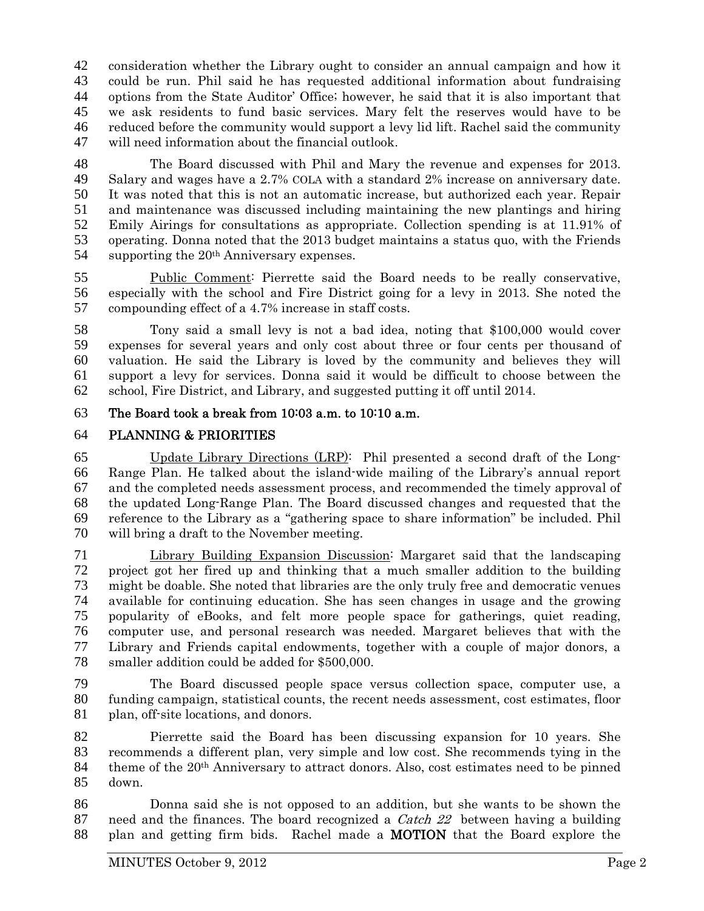consideration whether the Library ought to consider an annual campaign and how it could be run. Phil said he has requested additional information about fundraising options from the State Auditor' Office; however, he said that it is also important that we ask residents to fund basic services. Mary felt the reserves would have to be reduced before the community would support a levy lid lift. Rachel said the community will need information about the financial outlook.

The Board discussed with Phil and Mary the revenue and expenses for 2013. Salary and wages have a 2.7% COLA with a standard 2% increase on anniversary date. It was noted that this is not an automatic increase, but authorized each year. Repair and maintenance was discussed including maintaining the new plantings and hiring Emily Airings for consultations as appropriate. Collection spending is at 11.91% of operating. Donna noted that the 2013 budget maintains a status quo, with the Friends 54 supporting the  $20<sup>th</sup>$  Anniversary expenses.

Public Comment: Pierrette said the Board needs to be really conservative, especially with the school and Fire District going for a levy in 2013. She noted the compounding effect of a 4.7% increase in staff costs.

Tony said a small levy is not a bad idea, noting that \$100,000 would cover expenses for several years and only cost about three or four cents per thousand of valuation. He said the Library is loved by the community and believes they will support a levy for services. Donna said it would be difficult to choose between the school, Fire District, and Library, and suggested putting it off until 2014.

The Board took a break from 10:03 a.m. to 10:10 a.m.

## PLANNING & PRIORITIES

Update Library Directions (LRP): Phil presented a second draft of the Long-Range Plan. He talked about the island-wide mailing of the Library's annual report and the completed needs assessment process, and recommended the timely approval of the updated Long-Range Plan. The Board discussed changes and requested that the reference to the Library as a "gathering space to share information" be included. Phil will bring a draft to the November meeting.

Library Building Expansion Discussion: Margaret said that the landscaping project got her fired up and thinking that a much smaller addition to the building might be doable. She noted that libraries are the only truly free and democratic venues available for continuing education. She has seen changes in usage and the growing popularity of eBooks, and felt more people space for gatherings, quiet reading, computer use, and personal research was needed. Margaret believes that with the Library and Friends capital endowments, together with a couple of major donors, a smaller addition could be added for \$500,000.

The Board discussed people space versus collection space, computer use, a funding campaign, statistical counts, the recent needs assessment, cost estimates, floor plan, off-site locations, and donors.

Pierrette said the Board has been discussing expansion for 10 years. She recommends a different plan, very simple and low cost. She recommends tying in the theme of the  $20<sup>th</sup>$  Anniversary to attract donors. Also, cost estimates need to be pinned down.

Donna said she is not opposed to an addition, but she wants to be shown the 87 need and the finances. The board recognized a *Catch 22* between having a building plan and getting firm bids. Rachel made a MOTION that the Board explore the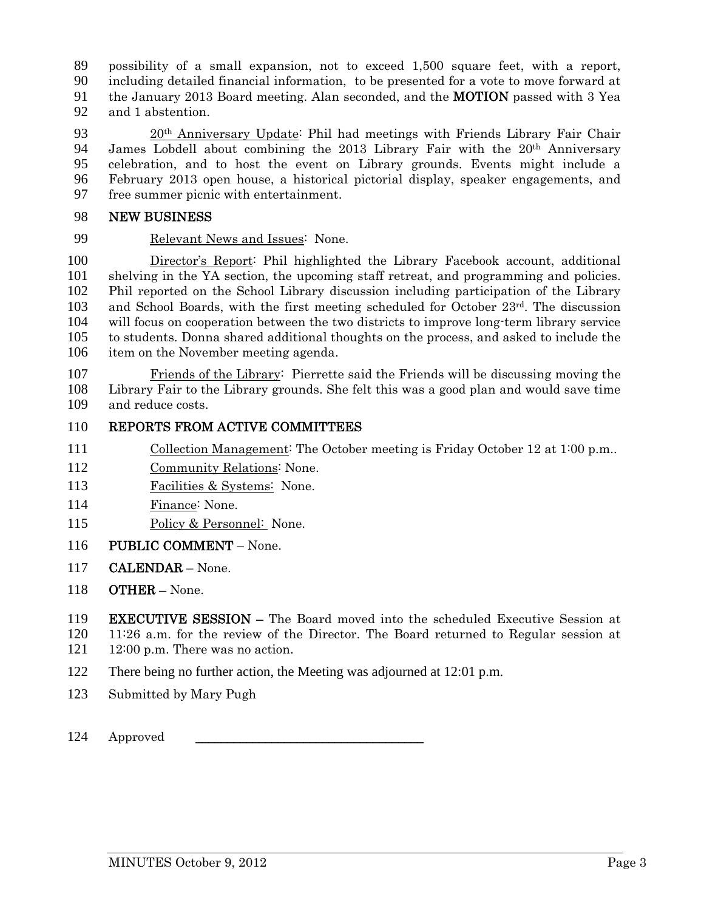possibility of a small expansion, not to exceed 1,500 square feet, with a report, including detailed financial information, to be presented for a vote to move forward at the January 2013 Board meeting. Alan seconded, and the MOTION passed with 3 Yea

and 1 abstention.

20th Anniversary Update: Phil had meetings with Friends Library Fair Chair 94 James Lobdell about combining the 2013 Library Fair with the  $20<sup>th</sup>$  Anniversary celebration, and to host the event on Library grounds. Events might include a February 2013 open house, a historical pictorial display, speaker engagements, and free summer picnic with entertainment.

#### NEW BUSINESS

Relevant News and Issues: None.

Director's Report: Phil highlighted the Library Facebook account, additional shelving in the YA section, the upcoming staff retreat, and programming and policies. Phil reported on the School Library discussion including participation of the Library 103 and School Boards, with the first meeting scheduled for October  $23<sup>rd</sup>$ . The discussion will focus on cooperation between the two districts to improve long-term library service to students. Donna shared additional thoughts on the process, and asked to include the item on the November meeting agenda.

Friends of the Library: Pierrette said the Friends will be discussing moving the Library Fair to the Library grounds. She felt this was a good plan and would save time and reduce costs.

#### REPORTS FROM ACTIVE COMMITTEES

- 111 Collection Management: The October meeting is Friday October 12 at 1:00 p.m..
- Community Relations: None.
- 113 Facilities & Systems: None.
- Finance: None.
- Policy & Personnel: None.
- 116 PUBLIC COMMENT None.
- CALENDAR None.
- OTHER None.

EXECUTIVE SESSION – The Board moved into the scheduled Executive Session at

- 11:26 a.m. for the review of the Director. The Board returned to Regular session at 121 12:00 p.m. There was no action.
- 122 There being no further action, the Meeting was adjourned at 12:01 p.m.
- Submitted by Mary Pugh
- 124 Approved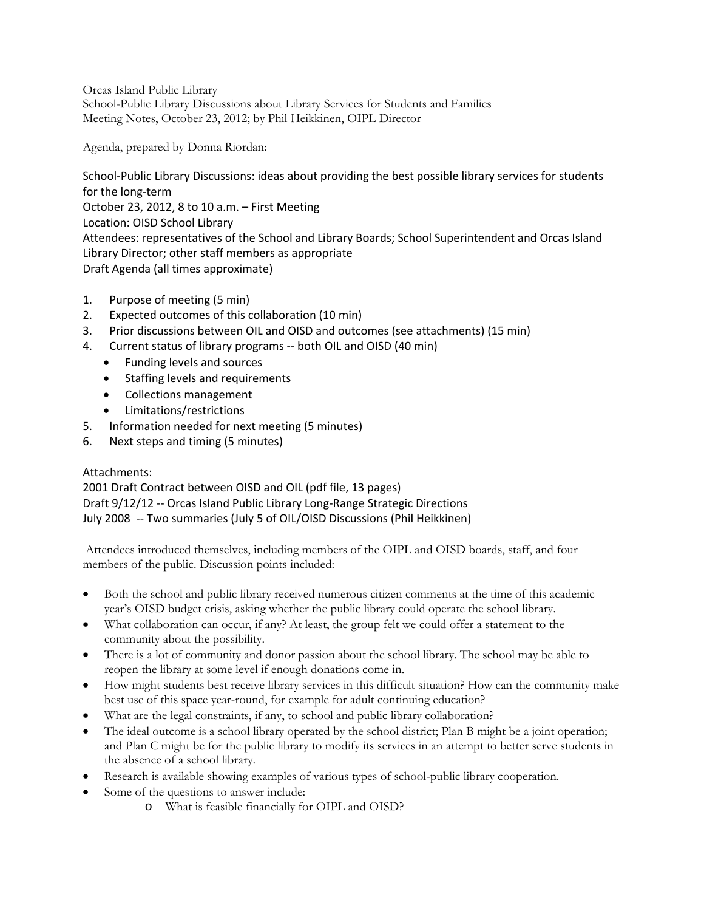Orcas Island Public Library School-Public Library Discussions about Library Services for Students and Families Meeting Notes, October 23, 2012; by Phil Heikkinen, OIPL Director

Agenda, prepared by Donna Riordan:

School-Public Library Discussions: ideas about providing the best possible library services for students for the long‐term October 23, 2012, 8 to 10 a.m. – First Meeting Location: OISD School Library Attendees: representatives of the School and Library Boards; School Superintendent and Orcas Island Library Director; other staff members as appropriate Draft Agenda (all times approximate)

- 1. Purpose of meeting (5 min)
- 2. Expected outcomes of this collaboration (10 min)
- 3. Prior discussions between OIL and OISD and outcomes (see attachments) (15 min)
- 4. Current status of library programs -- both OIL and OISD (40 min)
	- Funding levels and sources
	- Staffing levels and requirements
	- Collections management
	- Limitations/restrictions
- 5. Information needed for next meeting (5 minutes)
- 6. Next steps and timing (5 minutes)

#### Attachments:

2001 Draft Contract between OISD and OIL (pdf file, 13 pages) Draft 9/12/12 ‐‐ Orcas Island Public Library Long‐Range Strategic Directions July 2008 ‐‐ Two summaries (July 5 of OIL/OISD Discussions (Phil Heikkinen)

Attendees introduced themselves, including members of the OIPL and OISD boards, staff, and four members of the public. Discussion points included:

- Both the school and public library received numerous citizen comments at the time of this academic year's OISD budget crisis, asking whether the public library could operate the school library.
- What collaboration can occur, if any? At least, the group felt we could offer a statement to the community about the possibility.
- There is a lot of community and donor passion about the school library. The school may be able to reopen the library at some level if enough donations come in.
- How might students best receive library services in this difficult situation? How can the community make best use of this space year-round, for example for adult continuing education?
- What are the legal constraints, if any, to school and public library collaboration?
- The ideal outcome is a school library operated by the school district; Plan B might be a joint operation; and Plan C might be for the public library to modify its services in an attempt to better serve students in the absence of a school library.
- Research is available showing examples of various types of school-public library cooperation.
- Some of the questions to answer include:
	- o What is feasible financially for OIPL and OISD?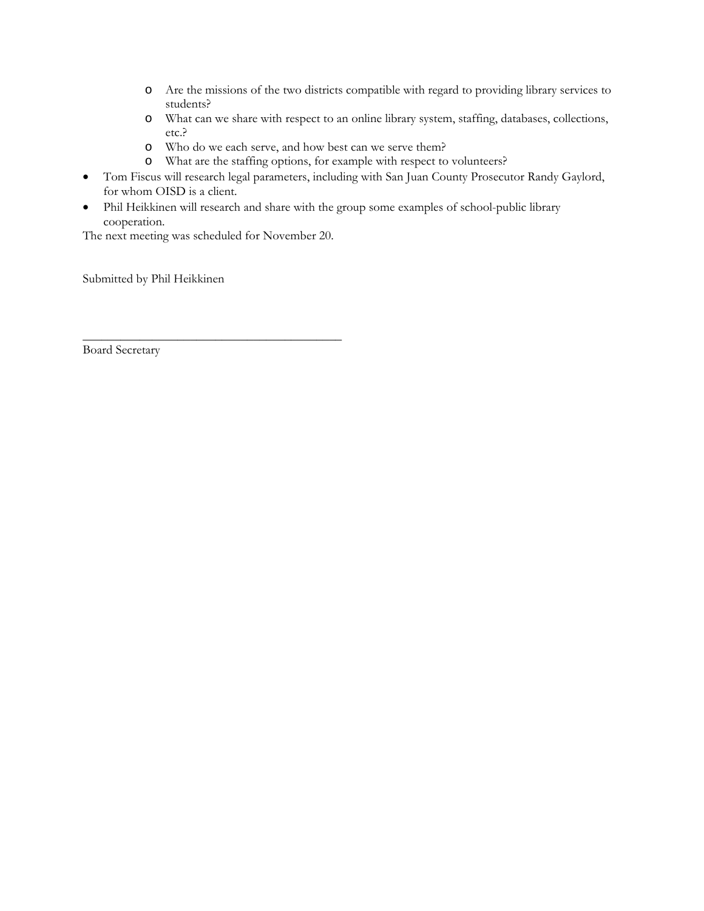- o Are the missions of the two districts compatible with regard to providing library services to students?
- o What can we share with respect to an online library system, staffing, databases, collections, etc.?
- o Who do we each serve, and how best can we serve them?
- o What are the staffing options, for example with respect to volunteers?
- Tom Fiscus will research legal parameters, including with San Juan County Prosecutor Randy Gaylord, for whom OISD is a client.
- Phil Heikkinen will research and share with the group some examples of school-public library cooperation.

The next meeting was scheduled for November 20.

\_\_\_\_\_\_\_\_\_\_\_\_\_\_\_\_\_\_\_\_\_\_\_\_\_\_\_\_\_\_\_\_\_\_\_\_\_\_\_\_\_

Submitted by Phil Heikkinen

Board Secretary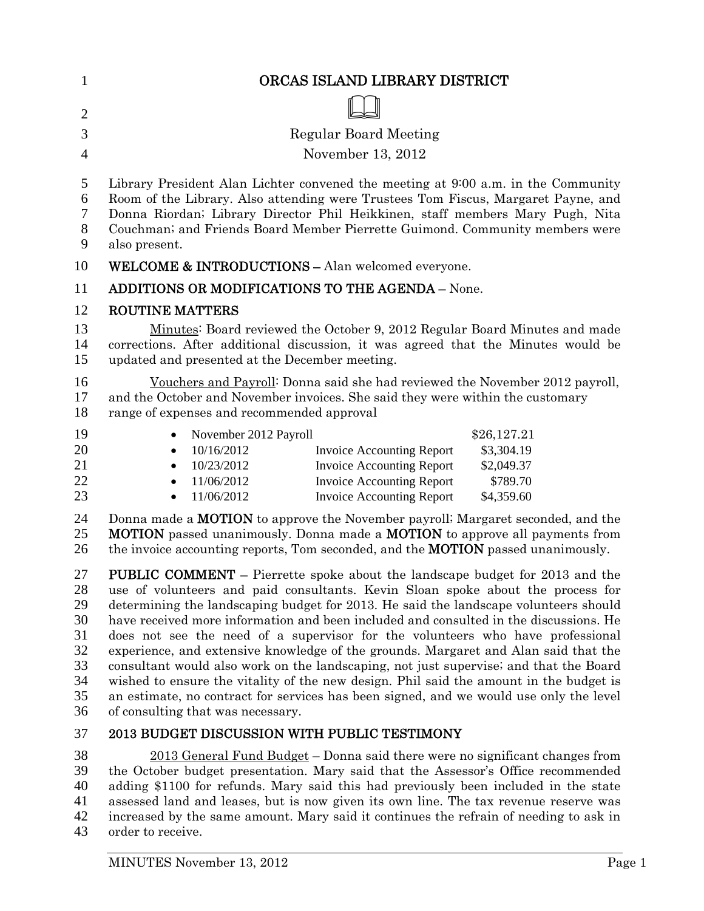| $\mathbf{1}$                                             | ORCAS ISLAND LIBRARY DISTRICT                                                                                                                                                                                                                                                                                                                                                                                                                                                                                                                                                                                                                                                                                                                                                                                                                      |
|----------------------------------------------------------|----------------------------------------------------------------------------------------------------------------------------------------------------------------------------------------------------------------------------------------------------------------------------------------------------------------------------------------------------------------------------------------------------------------------------------------------------------------------------------------------------------------------------------------------------------------------------------------------------------------------------------------------------------------------------------------------------------------------------------------------------------------------------------------------------------------------------------------------------|
| $\overline{2}$                                           |                                                                                                                                                                                                                                                                                                                                                                                                                                                                                                                                                                                                                                                                                                                                                                                                                                                    |
| 3                                                        | <b>Regular Board Meeting</b>                                                                                                                                                                                                                                                                                                                                                                                                                                                                                                                                                                                                                                                                                                                                                                                                                       |
| $\overline{4}$                                           | November 13, 2012                                                                                                                                                                                                                                                                                                                                                                                                                                                                                                                                                                                                                                                                                                                                                                                                                                  |
|                                                          |                                                                                                                                                                                                                                                                                                                                                                                                                                                                                                                                                                                                                                                                                                                                                                                                                                                    |
| 5<br>6<br>7<br>8                                         | Library President Alan Lichter convened the meeting at 9:00 a.m. in the Community<br>Room of the Library. Also attending were Trustees Tom Fiscus, Margaret Payne, and<br>Donna Riordan; Library Director Phil Heikkinen, staff members Mary Pugh, Nita<br>Couchman; and Friends Board Member Pierrette Guimond. Community members were                                                                                                                                                                                                                                                                                                                                                                                                                                                                                                            |
| 9                                                        | also present.                                                                                                                                                                                                                                                                                                                                                                                                                                                                                                                                                                                                                                                                                                                                                                                                                                      |
| 10                                                       | WELCOME & INTRODUCTIONS - Alan welcomed everyone.                                                                                                                                                                                                                                                                                                                                                                                                                                                                                                                                                                                                                                                                                                                                                                                                  |
| 11                                                       | <b>ADDITIONS OR MODIFICATIONS TO THE AGENDA - None.</b>                                                                                                                                                                                                                                                                                                                                                                                                                                                                                                                                                                                                                                                                                                                                                                                            |
| 12                                                       | <b>ROUTINE MATTERS</b>                                                                                                                                                                                                                                                                                                                                                                                                                                                                                                                                                                                                                                                                                                                                                                                                                             |
| 13<br>14<br>15                                           | Minutes: Board reviewed the October 9, 2012 Regular Board Minutes and made<br>corrections. After additional discussion, it was agreed that the Minutes would be<br>updated and presented at the December meeting.                                                                                                                                                                                                                                                                                                                                                                                                                                                                                                                                                                                                                                  |
| 16<br>17<br>18                                           | Vouchers and Payroll: Donna said she had reviewed the November 2012 payroll,<br>and the October and November invoices. She said they were within the customary<br>range of expenses and recommended approval                                                                                                                                                                                                                                                                                                                                                                                                                                                                                                                                                                                                                                       |
| 19<br>20<br>21<br>22<br>23                               | \$26,127.21<br>November 2012 Payroll<br>10/16/2012<br><b>Invoice Accounting Report</b><br>\$3,304.19<br>٠<br>10/23/2012<br><b>Invoice Accounting Report</b><br>\$2,049.37<br>11/06/2012<br><b>Invoice Accounting Report</b><br>\$789.70<br>11/06/2012<br><b>Invoice Accounting Report</b><br>\$4,359.60<br>$\bullet$                                                                                                                                                                                                                                                                                                                                                                                                                                                                                                                               |
| 24<br>25<br>26                                           | Donna made a <b>MOTION</b> to approve the November payroll; Margaret seconded, and the<br><b>MOTION</b> passed unanimously. Donna made a <b>MOTION</b> to approve all payments from<br>the invoice accounting reports, Tom seconded, and the <b>MOTION</b> passed unanimously.                                                                                                                                                                                                                                                                                                                                                                                                                                                                                                                                                                     |
| 27<br>28<br>29<br>30<br>31<br>32<br>33<br>34<br>35<br>36 | <b>PUBLIC COMMENT</b> – Pierrette spoke about the landscape budget for 2013 and the<br>use of volunteers and paid consultants. Kevin Sloan spoke about the process for<br>determining the landscaping budget for 2013. He said the landscape volunteers should<br>have received more information and been included and consulted in the discussions. He<br>does not see the need of a supervisor for the volunteers who have professional<br>experience, and extensive knowledge of the grounds. Margaret and Alan said that the<br>consultant would also work on the landscaping, not just supervise; and that the Board<br>wished to ensure the vitality of the new design. Phil said the amount in the budget is<br>an estimate, no contract for services has been signed, and we would use only the level<br>of consulting that was necessary. |
| 37                                                       | <b>2013 BUDGET DISCUSSION WITH PUBLIC TESTIMONY</b>                                                                                                                                                                                                                                                                                                                                                                                                                                                                                                                                                                                                                                                                                                                                                                                                |
| 38<br>$\sim$                                             | $2013$ General Fund Budget – Donna said there were no significant changes from                                                                                                                                                                                                                                                                                                                                                                                                                                                                                                                                                                                                                                                                                                                                                                     |

the October budget presentation. Mary said that the Assessor's Office recommended adding \$1100 for refunds. Mary said this had previously been included in the state assessed land and leases, but is now given its own line. The tax revenue reserve was 42 increased by the same amount. Mary said it continues the refrain of needing to ask in order to receive. order to receive.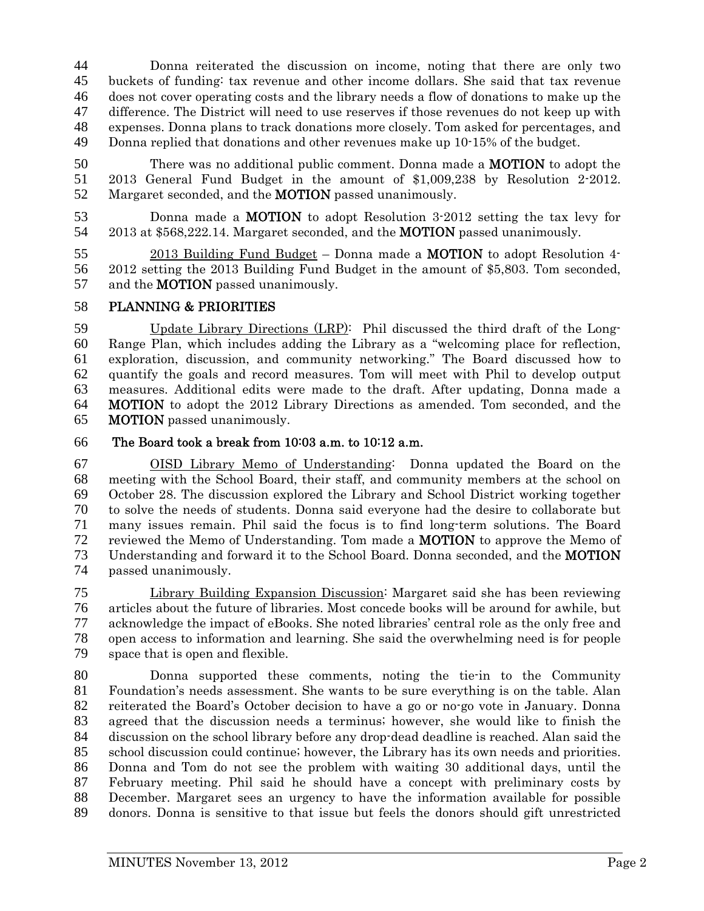Donna reiterated the discussion on income, noting that there are only two buckets of funding: tax revenue and other income dollars. She said that tax revenue does not cover operating costs and the library needs a flow of donations to make up the difference. The District will need to use reserves if those revenues do not keep up with expenses. Donna plans to track donations more closely. Tom asked for percentages, and Donna replied that donations and other revenues make up 10-15% of the budget.

50 There was no additional public comment. Donna made a **MOTION** to adopt the 2013 General Fund Budget in the amount of \$1,009,238 by Resolution 2-2012. 52 Margaret seconded, and the **MOTION** passed unanimously.

Donna made a MOTION to adopt Resolution 3-2012 setting the tax levy for 2013 at \$568,222.14. Margaret seconded, and the MOTION passed unanimously.

55 2013 Building Fund Budget – Donna made a **MOTION** to adopt Resolution 4-2012 setting the 2013 Building Fund Budget in the amount of \$5,803. Tom seconded, 57 and the **MOTION** passed unanimously.

## PLANNING & PRIORITIES

Update Library Directions (LRP): Phil discussed the third draft of the Long-Range Plan, which includes adding the Library as a "welcoming place for reflection, exploration, discussion, and community networking." The Board discussed how to quantify the goals and record measures. Tom will meet with Phil to develop output measures. Additional edits were made to the draft. After updating, Donna made a MOTION to adopt the 2012 Library Directions as amended. Tom seconded, and the MOTION passed unanimously.

## The Board took a break from 10:03 a.m. to 10:12 a.m.

OISD Library Memo of Understanding: Donna updated the Board on the meeting with the School Board, their staff, and community members at the school on October 28. The discussion explored the Library and School District working together to solve the needs of students. Donna said everyone had the desire to collaborate but many issues remain. Phil said the focus is to find long-term solutions. The Board reviewed the Memo of Understanding. Tom made a MOTION to approve the Memo of Understanding and forward it to the School Board. Donna seconded, and the MOTION passed unanimously.

Library Building Expansion Discussion: Margaret said she has been reviewing articles about the future of libraries. Most concede books will be around for awhile, but acknowledge the impact of eBooks. She noted libraries' central role as the only free and open access to information and learning. She said the overwhelming need is for people space that is open and flexible.

Donna supported these comments, noting the tie-in to the Community Foundation's needs assessment. She wants to be sure everything is on the table. Alan reiterated the Board's October decision to have a go or no-go vote in January. Donna agreed that the discussion needs a terminus; however, she would like to finish the discussion on the school library before any drop-dead deadline is reached. Alan said the school discussion could continue; however, the Library has its own needs and priorities. Donna and Tom do not see the problem with waiting 30 additional days, until the February meeting. Phil said he should have a concept with preliminary costs by December. Margaret sees an urgency to have the information available for possible donors. Donna is sensitive to that issue but feels the donors should gift unrestricted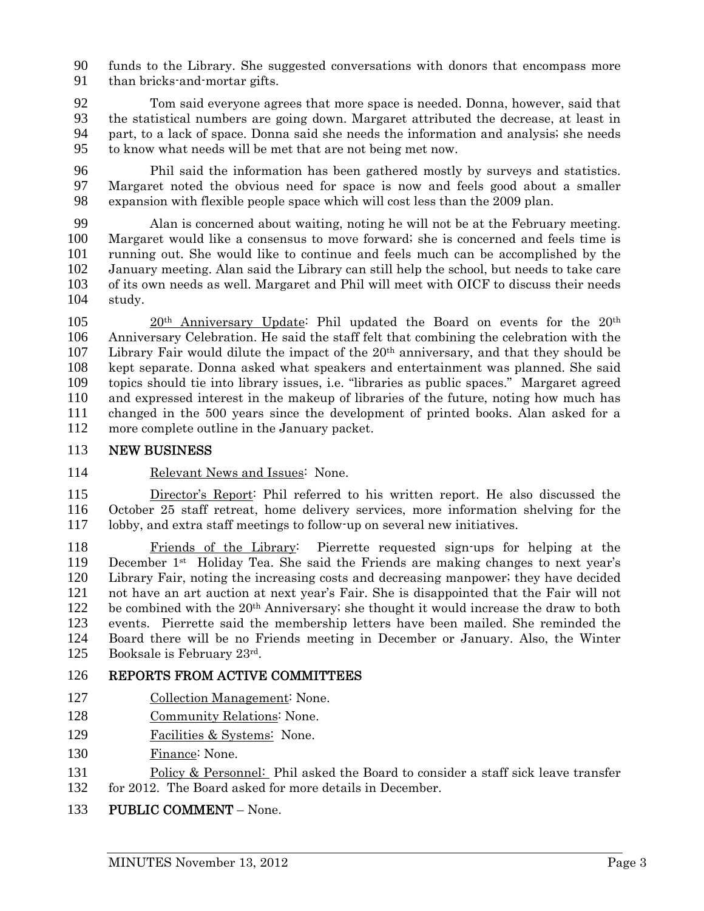funds to the Library. She suggested conversations with donors that encompass more than bricks-and-mortar gifts.

Tom said everyone agrees that more space is needed. Donna, however, said that the statistical numbers are going down. Margaret attributed the decrease, at least in part, to a lack of space. Donna said she needs the information and analysis; she needs to know what needs will be met that are not being met now.

Phil said the information has been gathered mostly by surveys and statistics. Margaret noted the obvious need for space is now and feels good about a smaller expansion with flexible people space which will cost less than the 2009 plan.

Alan is concerned about waiting, noting he will not be at the February meeting. Margaret would like a consensus to move forward; she is concerned and feels time is running out. She would like to continue and feels much can be accomplished by the January meeting. Alan said the Library can still help the school, but needs to take care of its own needs as well. Margaret and Phil will meet with OICF to discuss their needs study.

105 20<sup>th</sup> Anniversary Update: Phil updated the Board on events for the 20<sup>th</sup> Anniversary Celebration. He said the staff felt that combining the celebration with the 107 Library Fair would dilute the impact of the  $20<sup>th</sup>$  anniversary, and that they should be kept separate. Donna asked what speakers and entertainment was planned. She said topics should tie into library issues, i.e. "libraries as public spaces." Margaret agreed and expressed interest in the makeup of libraries of the future, noting how much has changed in the 500 years since the development of printed books. Alan asked for a more complete outline in the January packet.

## NEW BUSINESS

Relevant News and Issues: None.

Director's Report: Phil referred to his written report. He also discussed the October 25 staff retreat, home delivery services, more information shelving for the lobby, and extra staff meetings to follow-up on several new initiatives.

Friends of the Library: Pierrette requested sign-ups for helping at the 119 December 1<sup>st</sup> Holiday Tea. She said the Friends are making changes to next year's Library Fair, noting the increasing costs and decreasing manpower; they have decided not have an art auction at next year's Fair. She is disappointed that the Fair will not 122 be combined with the  $20<sup>th</sup>$  Anniversary; she thought it would increase the draw to both events. Pierrette said the membership letters have been mailed. She reminded the Board there will be no Friends meeting in December or January. Also, the Winter 125 Booksale is February  $23<sup>rd</sup>$ .

## REPORTS FROM ACTIVE COMMITTEES

- Collection Management: None.
- Community Relations: None.
- Facilities & Systems: None.
- Finance: None.
- Policy & Personnel: Phil asked the Board to consider a staff sick leave transfer for 2012. The Board asked for more details in December.

## PUBLIC COMMENT – None.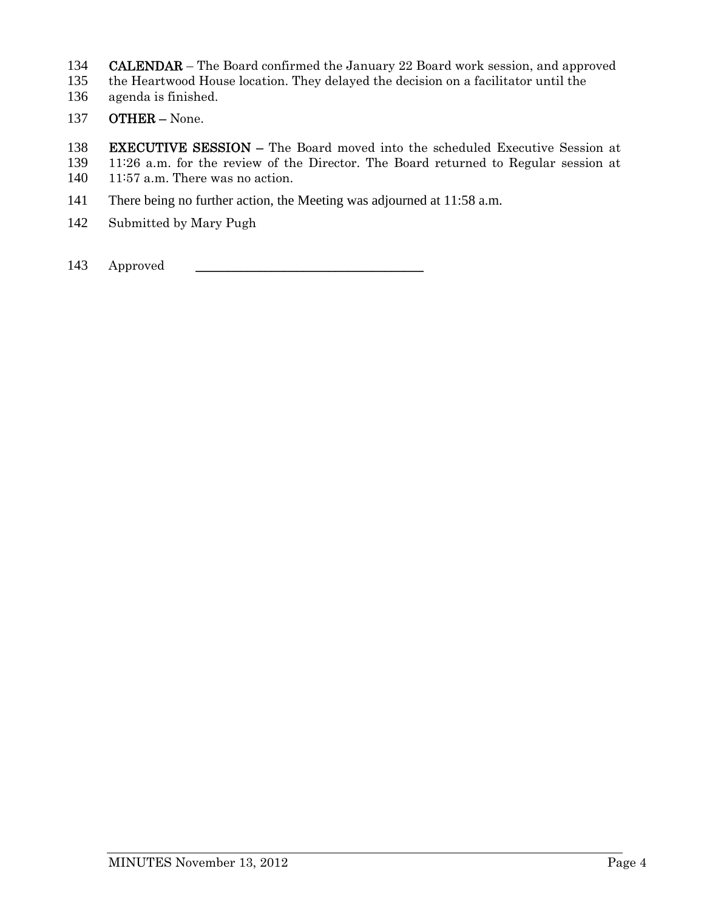- 134 CALENDAR The Board confirmed the January 22 Board work session, and approved
- 135 the Heartwood House location. They delayed the decision on a facilitator until the
- 136 agenda is finished.
- 137 OTHER None.

138 EXECUTIVE SESSION – The Board moved into the scheduled Executive Session at 139 11:26 a.m. for the review of the Director. The Board returned to Regular session at

- 140 11:57 a.m. There was no action.
- 141 There being no further action, the Meeting was adjourned at 11:58 a.m.
- 142 Submitted by Mary Pugh
- 143 Approved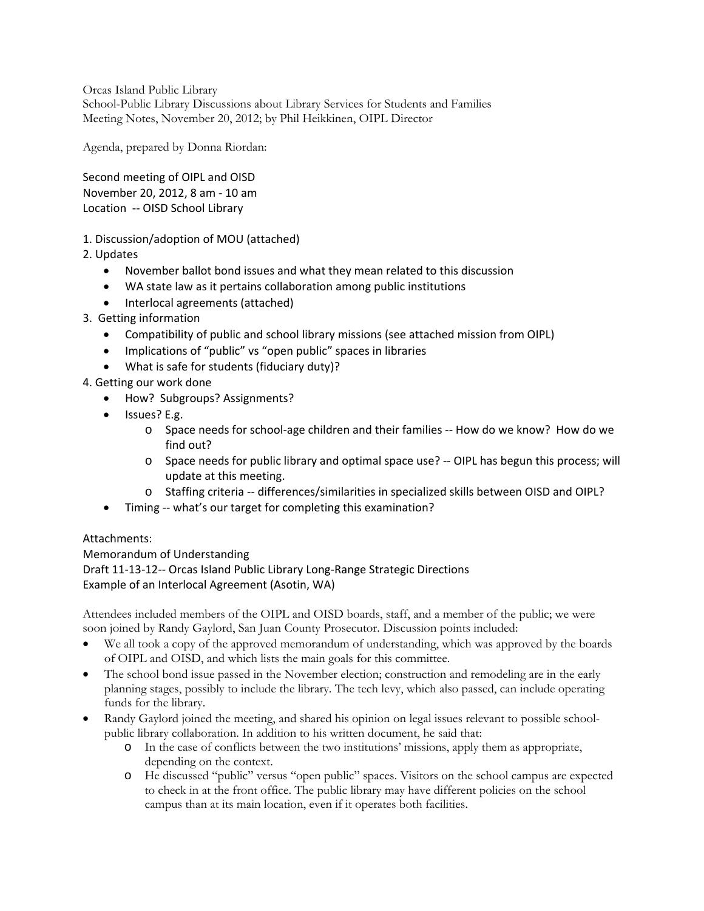Orcas Island Public Library School-Public Library Discussions about Library Services for Students and Families Meeting Notes, November 20, 2012; by Phil Heikkinen, OIPL Director

Agenda, prepared by Donna Riordan:

Second meeting of OIPL and OISD November 20, 2012, 8 am ‐ 10 am Location ‐‐ OISD School Library

1. Discussion/adoption of MOU (attached)

2. Updates

- November ballot bond issues and what they mean related to this discussion
- WA state law as it pertains collaboration among public institutions
- Interlocal agreements (attached)
- 3. Getting information
	- Compatibility of public and school library missions (see attached mission from OIPL)
	- Implications of "public" vs "open public" spaces in libraries
	- What is safe for students (fiduciary duty)?
- 4. Getting our work done
	- How? Subgroups? Assignments?
	- Issues? E.g.
		- o Space needs for school‐age children and their families ‐‐ How do we know? How do we find out?
		- o Space needs for public library and optimal space use? ‐‐ OIPL has begun this process; will update at this meeting.
		- o Staffing criteria ‐‐ differences/similarities in specialized skills between OISD and OIPL?
	- Timing -- what's our target for completing this examination?

#### Attachments:

Memorandum of Understanding Draft 11‐13‐12‐‐ Orcas Island Public Library Long‐Range Strategic Directions Example of an Interlocal Agreement (Asotin, WA)

Attendees included members of the OIPL and OISD boards, staff, and a member of the public; we were soon joined by Randy Gaylord, San Juan County Prosecutor. Discussion points included:

- We all took a copy of the approved memorandum of understanding, which was approved by the boards of OIPL and OISD, and which lists the main goals for this committee.
- The school bond issue passed in the November election; construction and remodeling are in the early planning stages, possibly to include the library. The tech levy, which also passed, can include operating funds for the library.
- Randy Gaylord joined the meeting, and shared his opinion on legal issues relevant to possible schoolpublic library collaboration. In addition to his written document, he said that:
	- o In the case of conflicts between the two institutions' missions, apply them as appropriate, depending on the context.
	- o He discussed "public" versus "open public" spaces. Visitors on the school campus are expected to check in at the front office. The public library may have different policies on the school campus than at its main location, even if it operates both facilities.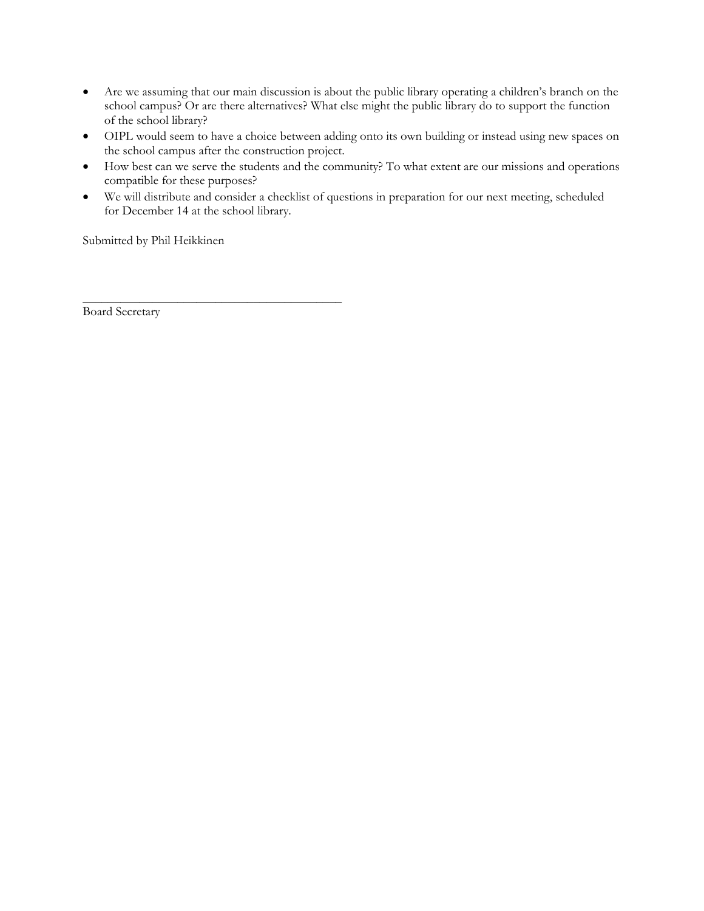- Are we assuming that our main discussion is about the public library operating a children's branch on the school campus? Or are there alternatives? What else might the public library do to support the function of the school library?
- OIPL would seem to have a choice between adding onto its own building or instead using new spaces on the school campus after the construction project.
- How best can we serve the students and the community? To what extent are our missions and operations compatible for these purposes?
- We will distribute and consider a checklist of questions in preparation for our next meeting, scheduled for December 14 at the school library.

Submitted by Phil Heikkinen

\_\_\_\_\_\_\_\_\_\_\_\_\_\_\_\_\_\_\_\_\_\_\_\_\_\_\_\_\_\_\_\_\_\_\_\_\_\_\_\_\_

Board Secretary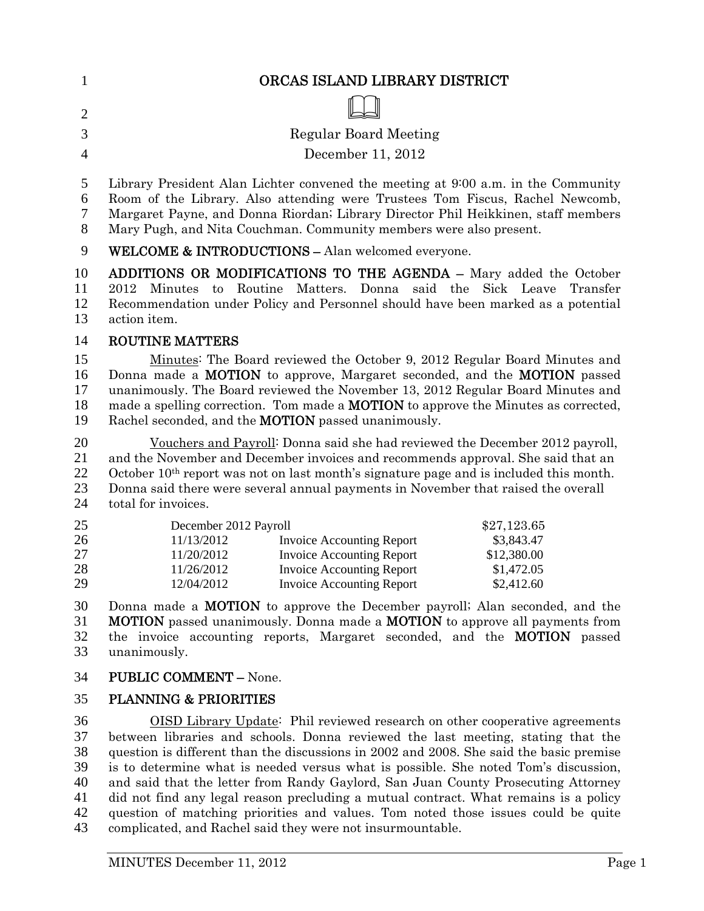| 1                                | ORCAS ISLAND LIBRARY DISTRICT                                                                                                                                                                                                                                                                                                                                                                                                                                                                                                         |
|----------------------------------|---------------------------------------------------------------------------------------------------------------------------------------------------------------------------------------------------------------------------------------------------------------------------------------------------------------------------------------------------------------------------------------------------------------------------------------------------------------------------------------------------------------------------------------|
| $\overline{2}$                   |                                                                                                                                                                                                                                                                                                                                                                                                                                                                                                                                       |
| 3                                | <b>Regular Board Meeting</b>                                                                                                                                                                                                                                                                                                                                                                                                                                                                                                          |
| $\overline{4}$                   | December 11, 2012                                                                                                                                                                                                                                                                                                                                                                                                                                                                                                                     |
|                                  |                                                                                                                                                                                                                                                                                                                                                                                                                                                                                                                                       |
| 5<br>6<br>7<br>8                 | Library President Alan Lichter convened the meeting at 9:00 a.m. in the Community<br>Room of the Library. Also attending were Trustees Tom Fiscus, Rachel Newcomb,<br>Margaret Payne, and Donna Riordan; Library Director Phil Heikkinen, staff members<br>Mary Pugh, and Nita Couchman. Community members were also present.                                                                                                                                                                                                         |
| 9                                | <b>WELCOME &amp; INTRODUCTIONS - Alan welcomed everyone.</b>                                                                                                                                                                                                                                                                                                                                                                                                                                                                          |
| 10<br>11<br>12<br>13             | <b>ADDITIONS OR MODIFICATIONS TO THE AGENDA - Mary added the October</b><br>Matters. Donna said the Sick Leave<br>to Routine<br>2012<br>Minutes<br>Transfer<br>Recommendation under Policy and Personnel should have been marked as a potential<br>action item.                                                                                                                                                                                                                                                                       |
| 14                               | <b>ROUTINE MATTERS</b>                                                                                                                                                                                                                                                                                                                                                                                                                                                                                                                |
| 15<br>16<br>17<br>18<br>19       | Minutes: The Board reviewed the October 9, 2012 Regular Board Minutes and<br>Donna made a MOTION to approve, Margaret seconded, and the MOTION passed<br>unanimously. The Board reviewed the November 13, 2012 Regular Board Minutes and<br>made a spelling correction. Tom made a <b>MOTION</b> to approve the Minutes as corrected,<br>Rachel seconded, and the <b>MOTION</b> passed unanimously.                                                                                                                                   |
| 20<br>21<br>22<br>23<br>24       | Vouchers and Payroll: Donna said she had reviewed the December 2012 payroll,<br>and the November and December invoices and recommends approval. She said that an<br>October 10 <sup>th</sup> report was not on last month's signature page and is included this month.<br>Donna said there were several annual payments in November that raised the overall<br>total for invoices.                                                                                                                                                    |
| 25<br>26<br>27<br>28<br>29       | December 2012 Payroll<br>\$27,123.65<br><b>Invoice Accounting Report</b><br>11/13/2012<br>\$3,843.47<br><b>Invoice Accounting Report</b><br>11/20/2012<br>\$12,380.00<br>11/26/2012<br><b>Invoice Accounting Report</b><br>\$1,472.05<br>12/04/2012<br>\$2,412.60<br><b>Invoice Accounting Report</b>                                                                                                                                                                                                                                 |
| 30<br>31<br>32<br>33             | Donna made a <b>MOTION</b> to approve the December payroll; Alan seconded, and the<br>MOTION passed unanimously. Donna made a MOTION to approve all payments from<br>the invoice accounting reports, Margaret seconded, and the <b>MOTION</b> passed<br>unanimously.                                                                                                                                                                                                                                                                  |
| 34                               | <b>PUBLIC COMMENT - None.</b>                                                                                                                                                                                                                                                                                                                                                                                                                                                                                                         |
| 35                               | PLANNING & PRIORITIES                                                                                                                                                                                                                                                                                                                                                                                                                                                                                                                 |
| 36<br>37<br>38<br>39<br>40<br>41 | <b>OISD</b> Library Update: Phil reviewed research on other cooperative agreements<br>between libraries and schools. Donna reviewed the last meeting, stating that the<br>question is different than the discussions in 2002 and 2008. She said the basic premise<br>is to determine what is needed versus what is possible. She noted Tom's discussion,<br>and said that the letter from Randy Gaylord, San Juan County Prosecuting Attorney<br>did not find any legal reason precluding a mutual contract. What remains is a policy |

42 question of matching priorities and values. Tom noted those issues could be quite 43 complicated, and Rachel said they were not insurmountable.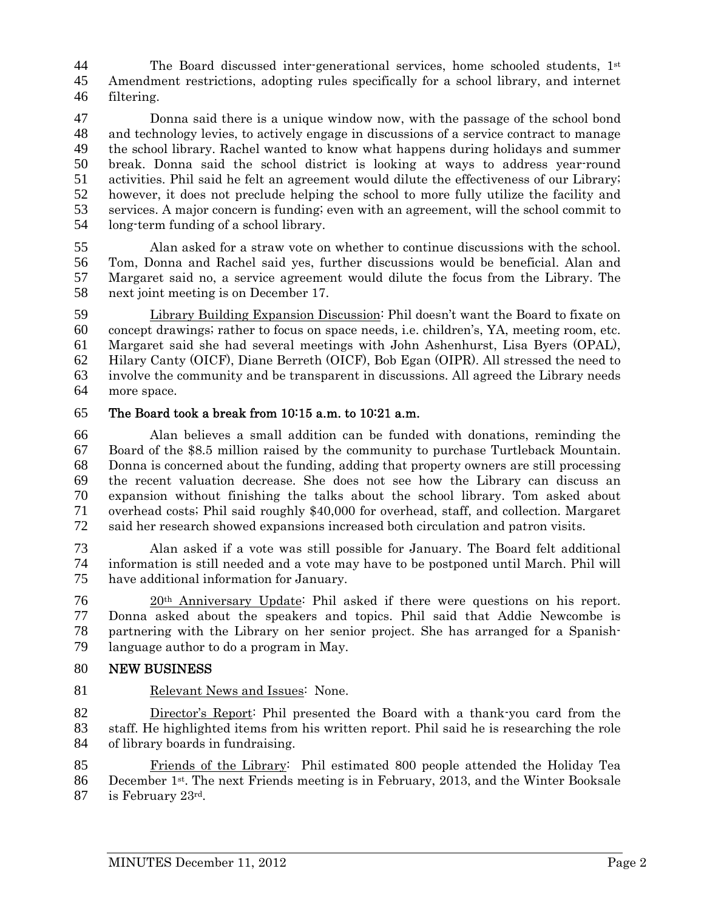44 The Board discussed inter-generational services, home schooled students,  $1<sup>st</sup>$ Amendment restrictions, adopting rules specifically for a school library, and internet filtering.

Donna said there is a unique window now, with the passage of the school bond and technology levies, to actively engage in discussions of a service contract to manage the school library. Rachel wanted to know what happens during holidays and summer break. Donna said the school district is looking at ways to address year-round activities. Phil said he felt an agreement would dilute the effectiveness of our Library; however, it does not preclude helping the school to more fully utilize the facility and services. A major concern is funding; even with an agreement, will the school commit to long-term funding of a school library.

Alan asked for a straw vote on whether to continue discussions with the school. Tom, Donna and Rachel said yes, further discussions would be beneficial. Alan and Margaret said no, a service agreement would dilute the focus from the Library. The next joint meeting is on December 17.

Library Building Expansion Discussion: Phil doesn't want the Board to fixate on concept drawings; rather to focus on space needs, i.e. children's, YA, meeting room, etc. Margaret said she had several meetings with John Ashenhurst, Lisa Byers (OPAL), Hilary Canty (OICF), Diane Berreth (OICF), Bob Egan (OIPR). All stressed the need to involve the community and be transparent in discussions. All agreed the Library needs more space.

## The Board took a break from 10:15 a.m. to 10:21 a.m.

Alan believes a small addition can be funded with donations, reminding the Board of the \$8.5 million raised by the community to purchase Turtleback Mountain. Donna is concerned about the funding, adding that property owners are still processing the recent valuation decrease. She does not see how the Library can discuss an expansion without finishing the talks about the school library. Tom asked about overhead costs; Phil said roughly \$40,000 for overhead, staff, and collection. Margaret said her research showed expansions increased both circulation and patron visits.

Alan asked if a vote was still possible for January. The Board felt additional information is still needed and a vote may have to be postponed until March. Phil will have additional information for January.

20th Anniversary Update: Phil asked if there were questions on his report. Donna asked about the speakers and topics. Phil said that Addie Newcombe is partnering with the Library on her senior project. She has arranged for a Spanish-language author to do a program in May.

### NEW BUSINESS

81 Relevant News and Issues: None.

Director's Report: Phil presented the Board with a thank-you card from the staff. He highlighted items from his written report. Phil said he is researching the role of library boards in fundraising.

Friends of the Library: Phil estimated 800 people attended the Holiday Tea 86 December  $1^{st}$ . The next Friends meeting is in February, 2013, and the Winter Booksale 87 is February  $23^{\text{rd}}$ .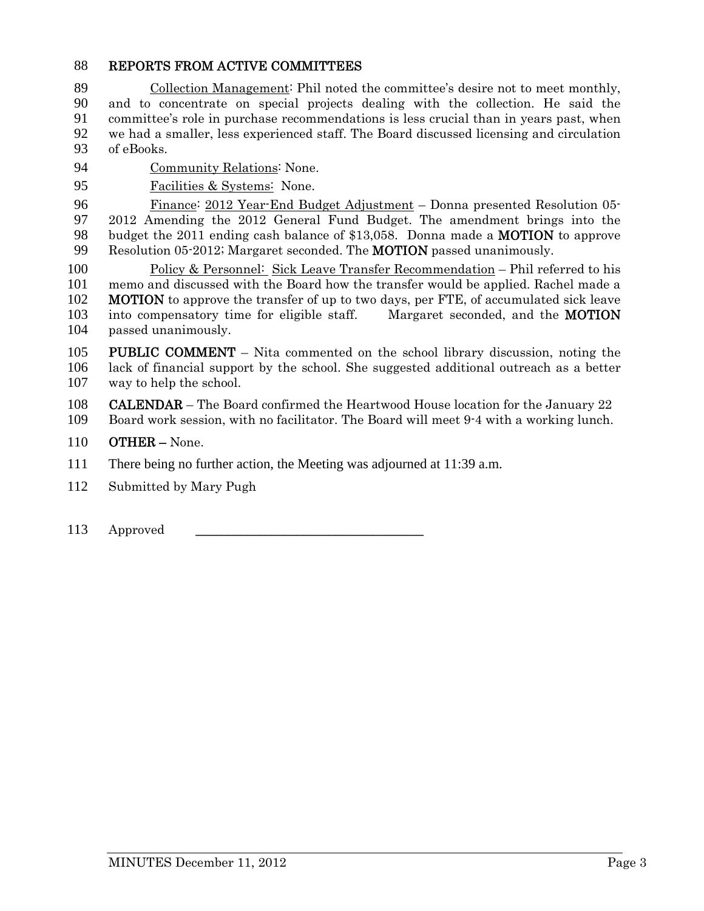### REPORTS FROM ACTIVE COMMITTEES

Collection Management: Phil noted the committee's desire not to meet monthly, and to concentrate on special projects dealing with the collection. He said the committee's role in purchase recommendations is less crucial than in years past, when we had a smaller, less experienced staff. The Board discussed licensing and circulation of eBooks.

- Community Relations: None.
- Facilities & Systems: None.

Finance: 2012 Year-End Budget Adjustment – Donna presented Resolution 05- 2012 Amending the 2012 General Fund Budget. The amendment brings into the 98 budget the 2011 ending cash balance of \$13,058. Donna made a **MOTION** to approve Resolution 05-2012; Margaret seconded. The MOTION passed unanimously.

Policy & Personnel: Sick Leave Transfer Recommendation – Phil referred to his memo and discussed with the Board how the transfer would be applied. Rachel made a **MOTION** to approve the transfer of up to two days, per FTE, of accumulated sick leave 103 into compensatory time for eligible staff. Margaret seconded, and the **MOTION** passed unanimously.

PUBLIC COMMENT – Nita commented on the school library discussion, noting the lack of financial support by the school. She suggested additional outreach as a better way to help the school.

108 CALENDAR – The Board confirmed the Heartwood House location for the January 22

- Board work session, with no facilitator. The Board will meet 9-4 with a working lunch.
- OTHER None.

111 There being no further action, the Meeting was adjourned at 11:39 a.m.

- Submitted by Mary Pugh
- 113 Approved